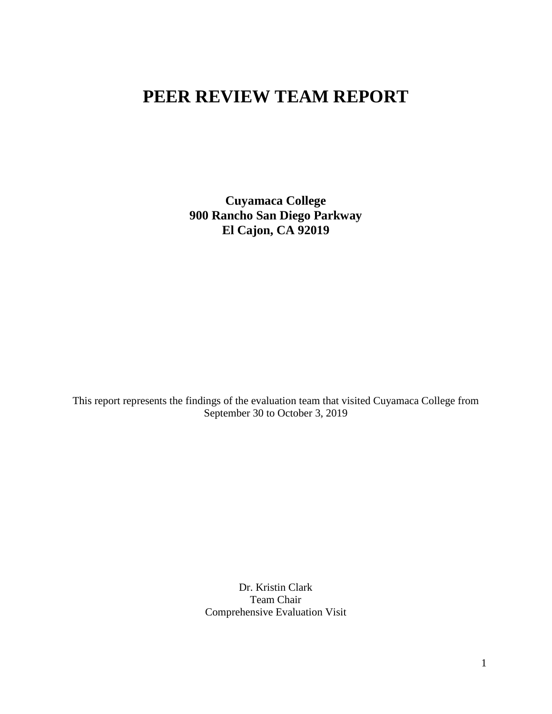# **PEER REVIEW TEAM REPORT**

**Cuyamaca College 900 Rancho San Diego Parkway El Cajon, CA 92019**

This report represents the findings of the evaluation team that visited Cuyamaca College from September 30 to October 3, 2019

> Dr. Kristin Clark Team Chair Comprehensive Evaluation Visit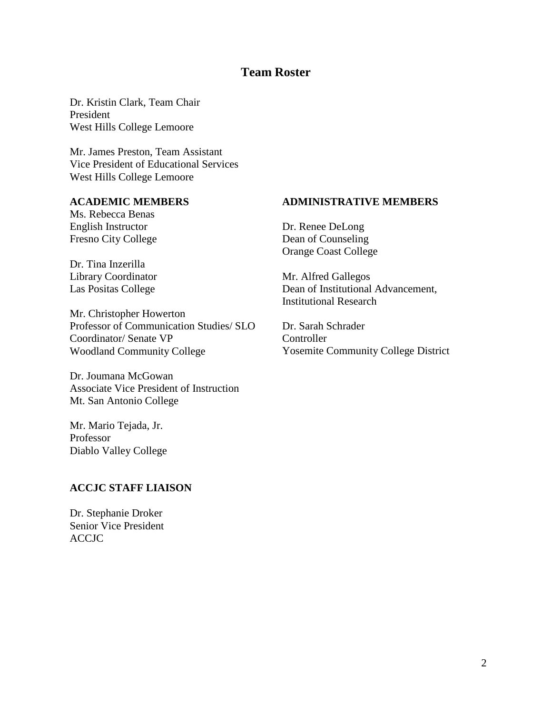# **Team Roster**

Dr. Kristin Clark, Team Chair President West Hills College Lemoore

Mr. James Preston, Team Assistant Vice President of Educational Services West Hills College Lemoore

#### **ACADEMIC MEMBERS**

Ms. Rebecca Benas English Instructor Fresno City College

Dr. Tina Inzerilla Library Coordinator Las Positas College

Mr. Christopher Howerton Professor of Communication Studies/ SLO Coordinator/ Senate VP Woodland Community College

Dr. Joumana McGowan Associate Vice President of Instruction Mt. San Antonio College

Mr. Mario Tejada, Jr. Professor Diablo Valley College

#### **ACCJC STAFF LIAISON**

Dr. Stephanie Droker Senior Vice President ACCJC

#### **ADMINISTRATIVE MEMBERS**

Dr. Renee DeLong Dean of Counseling Orange Coast College

Mr. Alfred Gallegos Dean of Institutional Advancement, Institutional Research

Dr. Sarah Schrader Controller Yosemite Community College District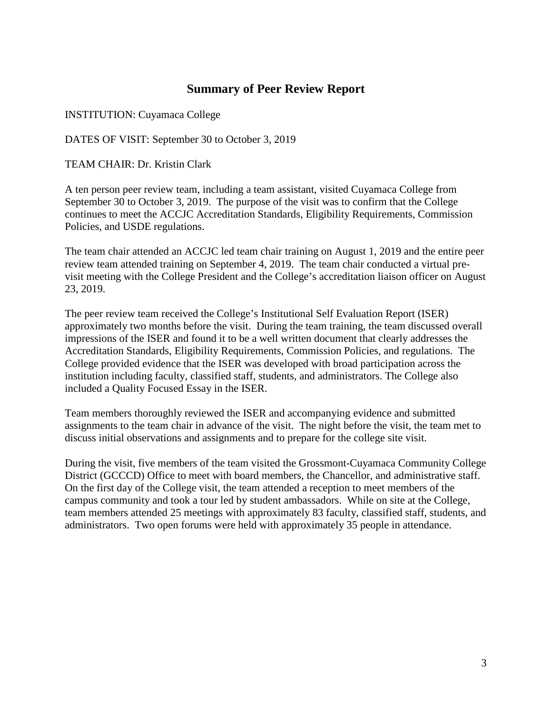# **Summary of Peer Review Report**

INSTITUTION: Cuyamaca College

DATES OF VISIT: September 30 to October 3, 2019

TEAM CHAIR: Dr. Kristin Clark

A ten person peer review team, including a team assistant, visited Cuyamaca College from September 30 to October 3, 2019. The purpose of the visit was to confirm that the College continues to meet the ACCJC Accreditation Standards, Eligibility Requirements, Commission Policies, and USDE regulations.

The team chair attended an ACCJC led team chair training on August 1, 2019 and the entire peer review team attended training on September 4, 2019. The team chair conducted a virtual previsit meeting with the College President and the College's accreditation liaison officer on August 23, 2019.

The peer review team received the College's Institutional Self Evaluation Report (ISER) approximately two months before the visit. During the team training, the team discussed overall impressions of the ISER and found it to be a well written document that clearly addresses the Accreditation Standards, Eligibility Requirements, Commission Policies, and regulations. The College provided evidence that the ISER was developed with broad participation across the institution including faculty, classified staff, students, and administrators. The College also included a Quality Focused Essay in the ISER.

Team members thoroughly reviewed the ISER and accompanying evidence and submitted assignments to the team chair in advance of the visit. The night before the visit, the team met to discuss initial observations and assignments and to prepare for the college site visit.

During the visit, five members of the team visited the Grossmont-Cuyamaca Community College District (GCCCD) Office to meet with board members, the Chancellor, and administrative staff. On the first day of the College visit, the team attended a reception to meet members of the campus community and took a tour led by student ambassadors. While on site at the College, team members attended 25 meetings with approximately 83 faculty, classified staff, students, and administrators. Two open forums were held with approximately 35 people in attendance.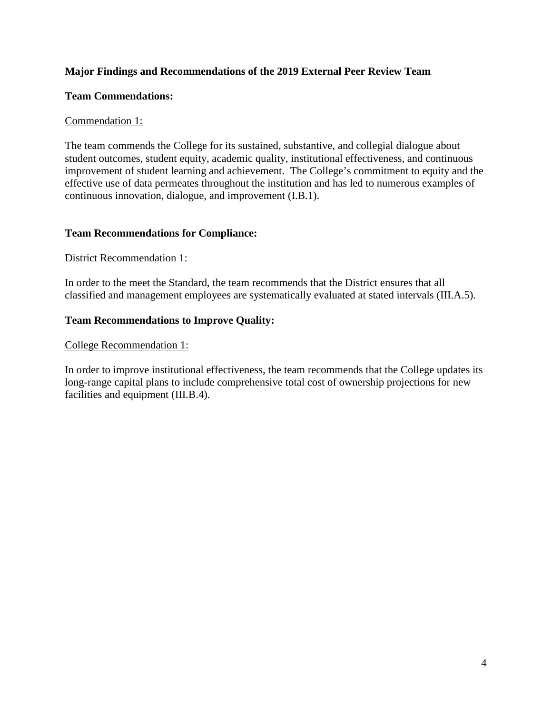### **Major Findings and Recommendations of the 2019 External Peer Review Team**

### **Team Commendations:**

### Commendation 1:

The team commends the College for its sustained, substantive, and collegial dialogue about student outcomes, student equity, academic quality, institutional effectiveness, and continuous improvement of student learning and achievement. The College's commitment to equity and the effective use of data permeates throughout the institution and has led to numerous examples of continuous innovation, dialogue, and improvement (I.B.1).

### **Team Recommendations for Compliance:**

### District Recommendation 1:

In order to the meet the Standard, the team recommends that the District ensures that all classified and management employees are systematically evaluated at stated intervals (III.A.5).

### **Team Recommendations to Improve Quality:**

### College Recommendation 1:

In order to improve institutional effectiveness, the team recommends that the College updates its long-range capital plans to include comprehensive total cost of ownership projections for new facilities and equipment (III.B.4).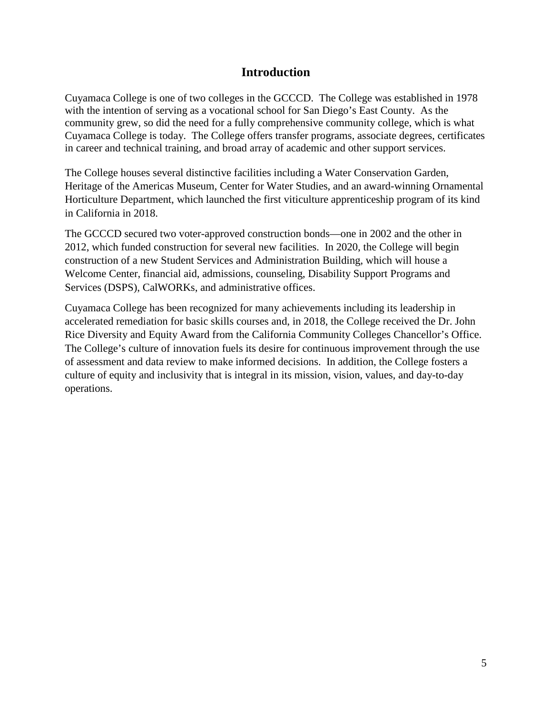# **Introduction**

Cuyamaca College is one of two colleges in the GCCCD. The College was established in 1978 with the intention of serving as a vocational school for San Diego's East County. As the community grew, so did the need for a fully comprehensive community college, which is what Cuyamaca College is today. The College offers transfer programs, associate degrees, certificates in career and technical training, and broad array of academic and other support services.

The College houses several distinctive facilities including a Water Conservation Garden, Heritage of the Americas Museum, Center for Water Studies, and an award-winning Ornamental Horticulture Department, which launched the first viticulture apprenticeship program of its kind in California in 2018.

The GCCCD secured two voter-approved construction bonds—one in 2002 and the other in 2012, which funded construction for several new facilities. In 2020, the College will begin construction of a new Student Services and Administration Building, which will house a Welcome Center, financial aid, admissions, counseling, Disability Support Programs and Services (DSPS), CalWORKs, and administrative offices.

Cuyamaca College has been recognized for many achievements including its leadership in accelerated remediation for basic skills courses and, in 2018, the College received the Dr. John Rice Diversity and Equity Award from the California Community Colleges Chancellor's Office. The College's culture of innovation fuels its desire for continuous improvement through the use of assessment and data review to make informed decisions. In addition, the College fosters a culture of equity and inclusivity that is integral in its mission, vision, values, and day-to-day operations.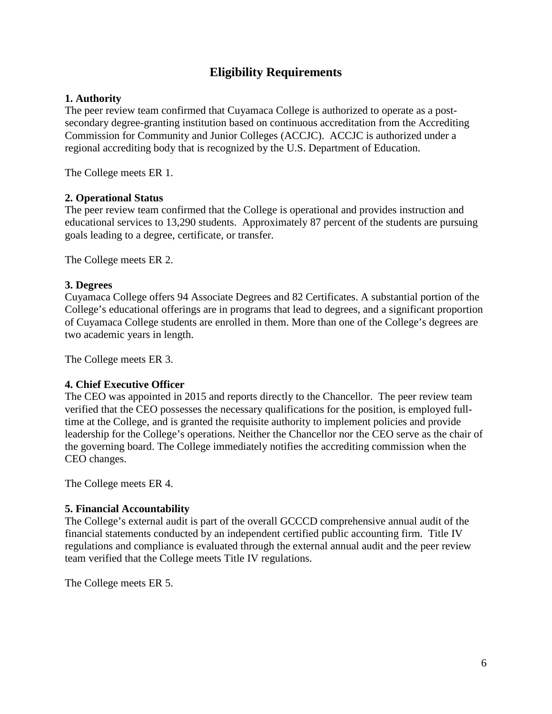# **Eligibility Requirements**

### **1. Authority**

The peer review team confirmed that Cuyamaca College is authorized to operate as a postsecondary degree-granting institution based on continuous accreditation from the Accrediting Commission for Community and Junior Colleges (ACCJC). ACCJC is authorized under a regional accrediting body that is recognized by the U.S. Department of Education.

The College meets ER 1.

### **2. Operational Status**

The peer review team confirmed that the College is operational and provides instruction and educational services to 13,290 students. Approximately 87 percent of the students are pursuing goals leading to a degree, certificate, or transfer.

The College meets ER 2.

### **3. Degrees**

Cuyamaca College offers 94 Associate Degrees and 82 Certificates. A substantial portion of the College's educational offerings are in programs that lead to degrees, and a significant proportion of Cuyamaca College students are enrolled in them. More than one of the College's degrees are two academic years in length.

The College meets ER 3.

### **4. Chief Executive Officer**

The CEO was appointed in 2015 and reports directly to the Chancellor. The peer review team verified that the CEO possesses the necessary qualifications for the position, is employed fulltime at the College, and is granted the requisite authority to implement policies and provide leadership for the College's operations. Neither the Chancellor nor the CEO serve as the chair of the governing board. The College immediately notifies the accrediting commission when the CEO changes.

The College meets ER 4.

### **5. Financial Accountability**

The College's external audit is part of the overall GCCCD comprehensive annual audit of the financial statements conducted by an independent certified public accounting firm. Title IV regulations and compliance is evaluated through the external annual audit and the peer review team verified that the College meets Title IV regulations.

The College meets ER 5.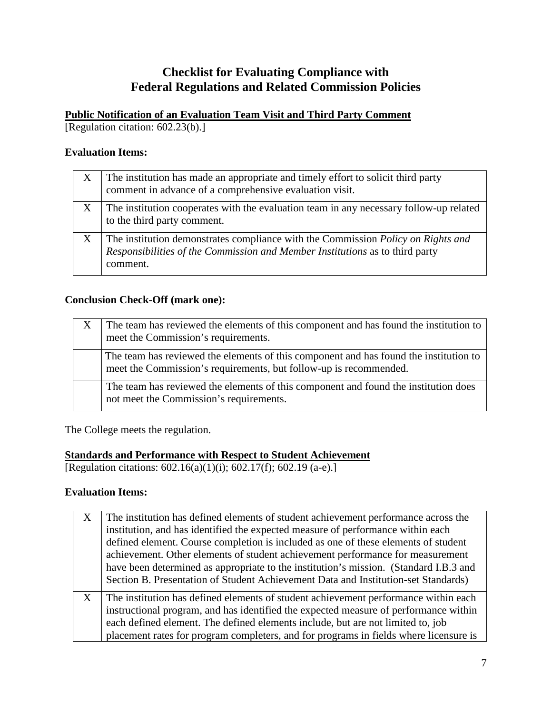# **Checklist for Evaluating Compliance with Federal Regulations and Related Commission Policies**

### **Public Notification of an Evaluation Team Visit and Third Party Comment**

[Regulation citation: 602.23(b).]

### **Evaluation Items:**

| X                         | The institution has made an appropriate and timely effort to solicit third party<br>comment in advance of a comprehensive evaluation visit.                                         |
|---------------------------|-------------------------------------------------------------------------------------------------------------------------------------------------------------------------------------|
| $\boldsymbol{\mathrm{X}}$ | The institution cooperates with the evaluation team in any necessary follow-up related<br>to the third party comment.                                                               |
| $\boldsymbol{X}$          | The institution demonstrates compliance with the Commission <i>Policy on Rights and</i><br>Responsibilities of the Commission and Member Institutions as to third party<br>comment. |

### **Conclusion Check-Off (mark one):**

| X | The team has reviewed the elements of this component and has found the institution to<br>meet the Commission's requirements.                               |
|---|------------------------------------------------------------------------------------------------------------------------------------------------------------|
|   | The team has reviewed the elements of this component and has found the institution to<br>meet the Commission's requirements, but follow-up is recommended. |
|   | The team has reviewed the elements of this component and found the institution does<br>not meet the Commission's requirements.                             |

The College meets the regulation.

### **Standards and Performance with Respect to Student Achievement**

[Regulation citations:  $602.16(a)(1)(i)$ ;  $602.17(f)$ ;  $602.19(a-e)$ .]

### **Evaluation Items:**

| X | The institution has defined elements of student achievement performance across the<br>institution, and has identified the expected measure of performance within each<br>defined element. Course completion is included as one of these elements of student<br>achievement. Other elements of student achievement performance for measurement<br>have been determined as appropriate to the institution's mission. (Standard I.B.3 and<br>Section B. Presentation of Student Achievement Data and Institution-set Standards) |
|---|------------------------------------------------------------------------------------------------------------------------------------------------------------------------------------------------------------------------------------------------------------------------------------------------------------------------------------------------------------------------------------------------------------------------------------------------------------------------------------------------------------------------------|
| X | The institution has defined elements of student achievement performance within each<br>instructional program, and has identified the expected measure of performance within<br>each defined element. The defined elements include, but are not limited to, job<br>placement rates for program completers, and for programs in fields where licensure is                                                                                                                                                                      |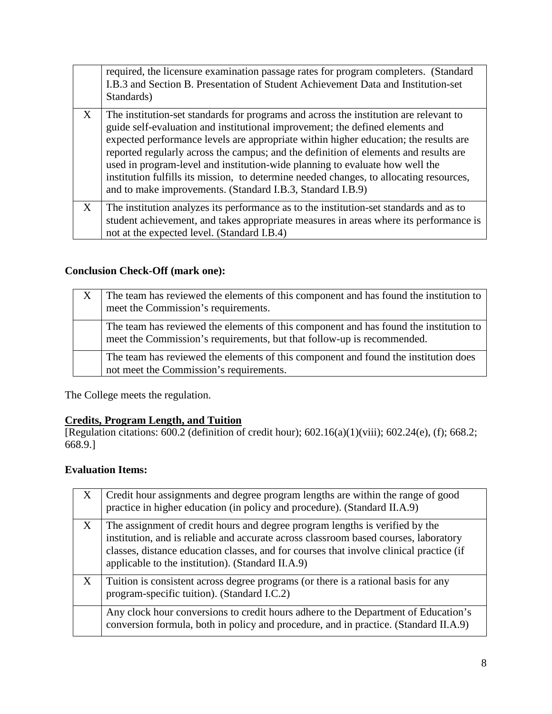|   | required, the licensure examination passage rates for program completers. (Standard<br>I.B.3 and Section B. Presentation of Student Achievement Data and Institution-set<br>Standards)                                                                                                                                                                                                                                                                                                                                                                                                          |
|---|-------------------------------------------------------------------------------------------------------------------------------------------------------------------------------------------------------------------------------------------------------------------------------------------------------------------------------------------------------------------------------------------------------------------------------------------------------------------------------------------------------------------------------------------------------------------------------------------------|
| X | The institution-set standards for programs and across the institution are relevant to<br>guide self-evaluation and institutional improvement; the defined elements and<br>expected performance levels are appropriate within higher education; the results are<br>reported regularly across the campus; and the definition of elements and results are<br>used in program-level and institution-wide planning to evaluate how well the<br>institution fulfills its mission, to determine needed changes, to allocating resources,<br>and to make improvements. (Standard I.B.3, Standard I.B.9) |
| X | The institution analyzes its performance as to the institution-set standards and as to<br>student achievement, and takes appropriate measures in areas where its performance is<br>not at the expected level. (Standard I.B.4)                                                                                                                                                                                                                                                                                                                                                                  |

# **Conclusion Check-Off (mark one):**

| X | The team has reviewed the elements of this component and has found the institution to<br>meet the Commission's requirements.                                    |
|---|-----------------------------------------------------------------------------------------------------------------------------------------------------------------|
|   | The team has reviewed the elements of this component and has found the institution to<br>meet the Commission's requirements, but that follow-up is recommended. |
|   | The team has reviewed the elements of this component and found the institution does<br>not meet the Commission's requirements.                                  |

The College meets the regulation.

### **Credits, Program Length, and Tuition**

[Regulation citations: 600.2 (definition of credit hour); 602.16(a)(1)(viii); 602.24(e), (f); 668.2; 668.9.]

# **Evaluation Items:**

| X | Credit hour assignments and degree program lengths are within the range of good<br>practice in higher education (in policy and procedure). (Standard II.A.9)                                                                                                                                                         |
|---|----------------------------------------------------------------------------------------------------------------------------------------------------------------------------------------------------------------------------------------------------------------------------------------------------------------------|
| X | The assignment of credit hours and degree program lengths is verified by the<br>institution, and is reliable and accurate across classroom based courses, laboratory<br>classes, distance education classes, and for courses that involve clinical practice (if<br>applicable to the institution). (Standard II.A.9) |
| X | Tuition is consistent across degree programs (or there is a rational basis for any<br>program-specific tuition). (Standard I.C.2)                                                                                                                                                                                    |
|   | Any clock hour conversions to credit hours adhere to the Department of Education's<br>conversion formula, both in policy and procedure, and in practice. (Standard II.A.9)                                                                                                                                           |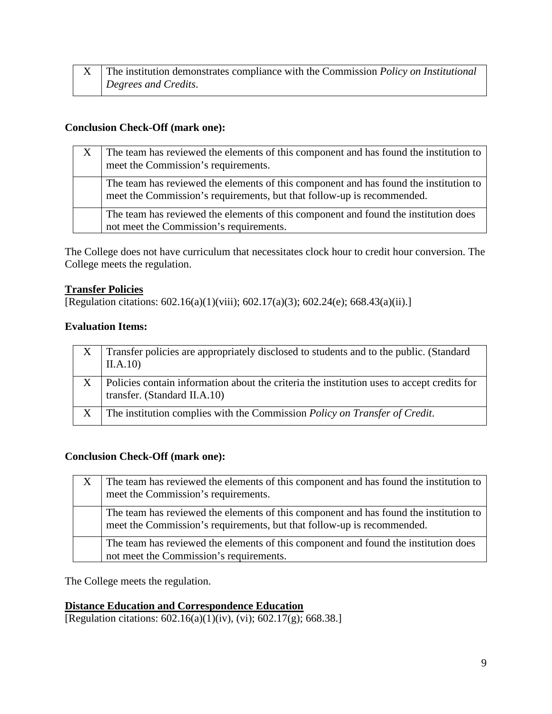| The institution demonstrates compliance with the Commission <i>Policy on Institutional</i> |
|--------------------------------------------------------------------------------------------|
| Degrees and Credits.                                                                       |

### **Conclusion Check-Off (mark one):**

| The team has reviewed the elements of this component and has found the institution to<br>meet the Commission's requirements.                                    |
|-----------------------------------------------------------------------------------------------------------------------------------------------------------------|
| The team has reviewed the elements of this component and has found the institution to<br>meet the Commission's requirements, but that follow-up is recommended. |
| The team has reviewed the elements of this component and found the institution does<br>not meet the Commission's requirements.                                  |

The College does not have curriculum that necessitates clock hour to credit hour conversion. The College meets the regulation.

### **Transfer Policies**

[Regulation citations: 602.16(a)(1)(viii); 602.17(a)(3); 602.24(e); 668.43(a)(ii).]

### **Evaluation Items:**

|   | Transfer policies are appropriately disclosed to students and to the public. (Standard<br>II.A.10                          |
|---|----------------------------------------------------------------------------------------------------------------------------|
| X | Policies contain information about the criteria the institution uses to accept credits for<br>transfer. (Standard II.A.10) |
| X | The institution complies with the Commission <i>Policy on Transfer of Credit</i> .                                         |

### **Conclusion Check-Off (mark one):**

| The team has reviewed the elements of this component and has found the institution to<br>meet the Commission's requirements.                                    |
|-----------------------------------------------------------------------------------------------------------------------------------------------------------------|
| The team has reviewed the elements of this component and has found the institution to<br>meet the Commission's requirements, but that follow-up is recommended. |
| The team has reviewed the elements of this component and found the institution does<br>not meet the Commission's requirements.                                  |

The College meets the regulation.

# **Distance Education and Correspondence Education**

[Regulation citations: 602.16(a)(1)(iv), (vi); 602.17(g); 668.38.]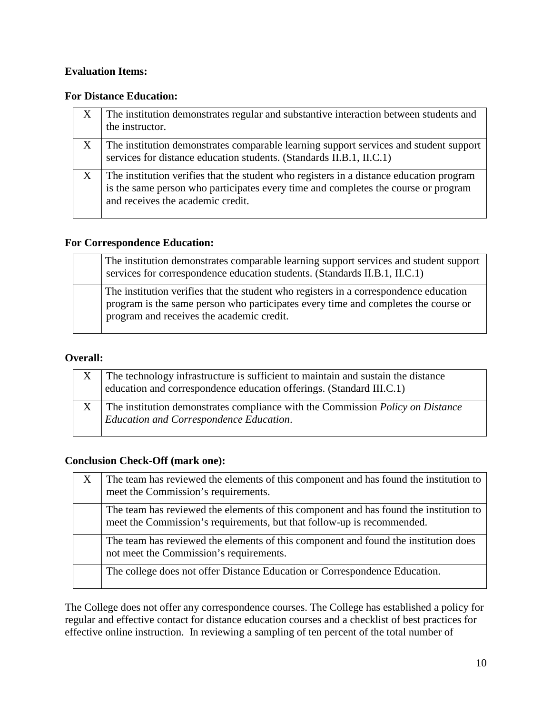### **Evaluation Items:**

### **For Distance Education:**

| X | The institution demonstrates regular and substantive interaction between students and<br>the instructor.                                                                                                           |
|---|--------------------------------------------------------------------------------------------------------------------------------------------------------------------------------------------------------------------|
| X | The institution demonstrates comparable learning support services and student support<br>services for distance education students. (Standards II.B.1, II.C.1)                                                      |
|   | The institution verifies that the student who registers in a distance education program<br>is the same person who participates every time and completes the course or program<br>and receives the academic credit. |

# **For Correspondence Education:**

| The institution demonstrates comparable learning support services and student support<br>services for correspondence education students. (Standards II.B.1, II.C.1)                                                      |
|--------------------------------------------------------------------------------------------------------------------------------------------------------------------------------------------------------------------------|
| The institution verifies that the student who registers in a correspondence education<br>program is the same person who participates every time and completes the course or<br>program and receives the academic credit. |

### **Overall:**

| The technology infrastructure is sufficient to maintain and sustain the distance<br>education and correspondence education offerings. (Standard III.C.1) |
|----------------------------------------------------------------------------------------------------------------------------------------------------------|
| The institution demonstrates compliance with the Commission <i>Policy on Distance</i><br><b>Education and Correspondence Education.</b>                  |

# **Conclusion Check-Off (mark one):**

| The team has reviewed the elements of this component and has found the institution to<br>meet the Commission's requirements.                                    |
|-----------------------------------------------------------------------------------------------------------------------------------------------------------------|
| The team has reviewed the elements of this component and has found the institution to<br>meet the Commission's requirements, but that follow-up is recommended. |
| The team has reviewed the elements of this component and found the institution does<br>not meet the Commission's requirements.                                  |
| The college does not offer Distance Education or Correspondence Education.                                                                                      |

The College does not offer any correspondence courses. The College has established a policy for regular and effective contact for distance education courses and a checklist of best practices for effective online instruction. In reviewing a sampling of ten percent of the total number of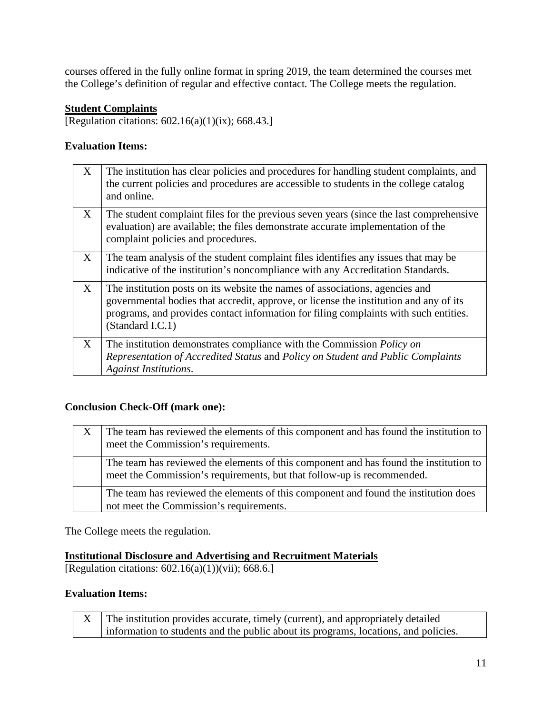courses offered in the fully online format in spring 2019, the team determined the courses met the College's definition of regular and effective contact*.* The College meets the regulation.

# **Student Complaints**

[Regulation citations: 602.16(a)(1)(ix); 668.43.]

### **Evaluation Items:**

| X | The institution has clear policies and procedures for handling student complaints, and<br>the current policies and procedures are accessible to students in the college catalog<br>and online.                                                                                    |
|---|-----------------------------------------------------------------------------------------------------------------------------------------------------------------------------------------------------------------------------------------------------------------------------------|
| X | The student complaint files for the previous seven years (since the last comprehensive<br>evaluation) are available; the files demonstrate accurate implementation of the<br>complaint policies and procedures.                                                                   |
| X | The team analysis of the student complaint files identifies any issues that may be<br>indicative of the institution's noncompliance with any Accreditation Standards.                                                                                                             |
| X | The institution posts on its website the names of associations, agencies and<br>governmental bodies that accredit, approve, or license the institution and any of its<br>programs, and provides contact information for filing complaints with such entities.<br>(Standard I.C.1) |
| X | The institution demonstrates compliance with the Commission <i>Policy on</i><br>Representation of Accredited Status and Policy on Student and Public Complaints<br><b>Against Institutions.</b>                                                                                   |

### **Conclusion Check-Off (mark one):**

| X | The team has reviewed the elements of this component and has found the institution to<br>meet the Commission's requirements.                                    |
|---|-----------------------------------------------------------------------------------------------------------------------------------------------------------------|
|   | The team has reviewed the elements of this component and has found the institution to<br>meet the Commission's requirements, but that follow-up is recommended. |
|   | The team has reviewed the elements of this component and found the institution does<br>not meet the Commission's requirements.                                  |

The College meets the regulation.

### **Institutional Disclosure and Advertising and Recruitment Materials**

[Regulation citations: 602.16(a)(1))(vii); 668.6.]

### **Evaluation Items:**

| X The institution provides accurate, timely (current), and appropriately detailed   |
|-------------------------------------------------------------------------------------|
| information to students and the public about its programs, locations, and policies. |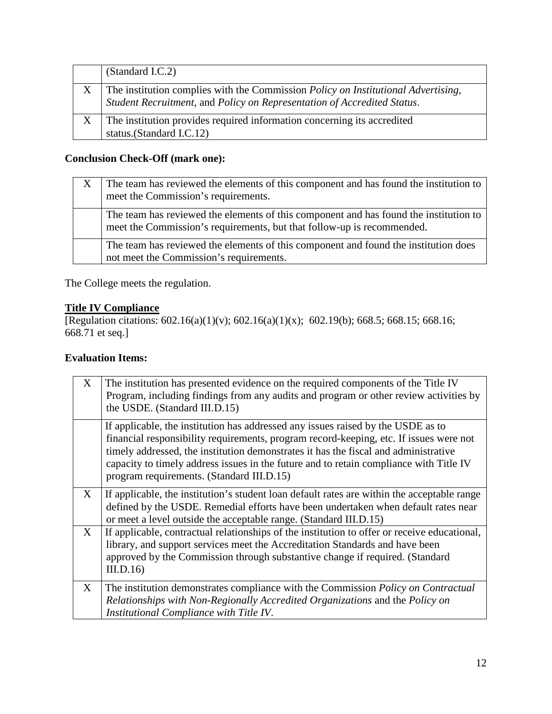|   | (Standard I.C.2)                                                                                                                                                     |
|---|----------------------------------------------------------------------------------------------------------------------------------------------------------------------|
| X | The institution complies with the Commission <i>Policy on Institutional Advertising</i> ,<br>Student Recruitment, and Policy on Representation of Accredited Status. |
| X | The institution provides required information concerning its accredited<br>status.(Standard I.C.12)                                                                  |
|   |                                                                                                                                                                      |

# **Conclusion Check-Off (mark one):**

| X | The team has reviewed the elements of this component and has found the institution to<br>meet the Commission's requirements.                                    |
|---|-----------------------------------------------------------------------------------------------------------------------------------------------------------------|
|   | The team has reviewed the elements of this component and has found the institution to<br>meet the Commission's requirements, but that follow-up is recommended. |
|   | The team has reviewed the elements of this component and found the institution does<br>not meet the Commission's requirements.                                  |

The College meets the regulation.

# **Title IV Compliance**

[Regulation citations:  $602.16(a)(1)(v)$ ;  $602.16(a)(1)(x)$ ;  $602.19(b)$ ;  $668.5$ ;  $668.15$ ;  $668.16$ ; 668.71 et seq.]

# **Evaluation Items:**

| X | The institution has presented evidence on the required components of the Title IV<br>Program, including findings from any audits and program or other review activities by<br>the USDE. (Standard III.D.15)                                                                                                                                                                                              |
|---|----------------------------------------------------------------------------------------------------------------------------------------------------------------------------------------------------------------------------------------------------------------------------------------------------------------------------------------------------------------------------------------------------------|
|   | If applicable, the institution has addressed any issues raised by the USDE as to<br>financial responsibility requirements, program record-keeping, etc. If issues were not<br>timely addressed, the institution demonstrates it has the fiscal and administrative<br>capacity to timely address issues in the future and to retain compliance with Title IV<br>program requirements. (Standard III.D.15) |
| X | If applicable, the institution's student loan default rates are within the acceptable range<br>defined by the USDE. Remedial efforts have been undertaken when default rates near<br>or meet a level outside the acceptable range. (Standard III.D.15)                                                                                                                                                   |
| X | If applicable, contractual relationships of the institution to offer or receive educational,<br>library, and support services meet the Accreditation Standards and have been<br>approved by the Commission through substantive change if required. (Standard<br>III.D.16                                                                                                                                 |
| X | The institution demonstrates compliance with the Commission Policy on Contractual<br>Relationships with Non-Regionally Accredited Organizations and the Policy on<br>Institutional Compliance with Title IV.                                                                                                                                                                                             |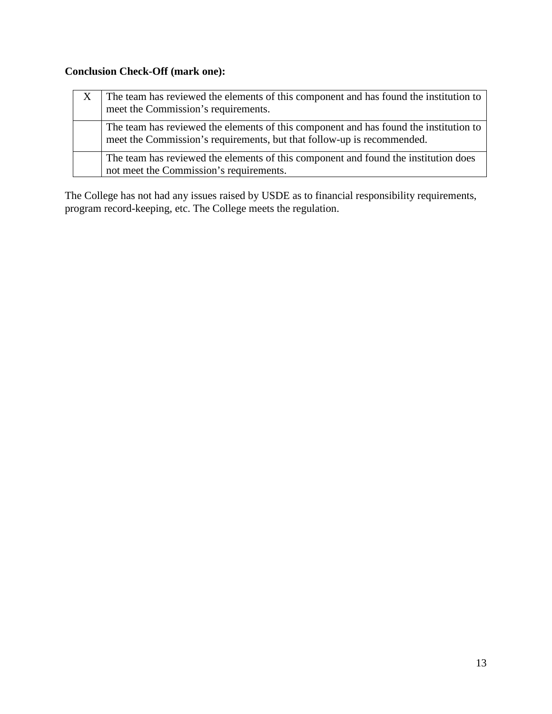# **Conclusion Check-Off (mark one):**

| X | The team has reviewed the elements of this component and has found the institution to<br>meet the Commission's requirements.                                    |
|---|-----------------------------------------------------------------------------------------------------------------------------------------------------------------|
|   | The team has reviewed the elements of this component and has found the institution to<br>meet the Commission's requirements, but that follow-up is recommended. |
|   | The team has reviewed the elements of this component and found the institution does<br>not meet the Commission's requirements.                                  |

The College has not had any issues raised by USDE as to financial responsibility requirements, program record-keeping, etc. The College meets the regulation.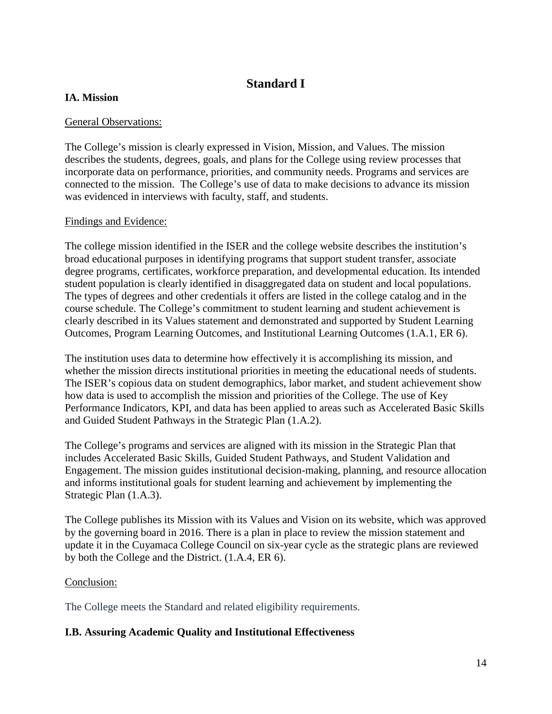# **Standard I**

# **IA. Mission**

### General Observations:

The College's mission is clearly expressed in Vision, Mission, and Values. The mission describes the students, degrees, goals, and plans for the College using review processes that incorporate data on performance, priorities, and community needs. Programs and services are connected to the mission. The College's use of data to make decisions to advance its mission was evidenced in interviews with faculty, staff, and students.

### Findings and Evidence:

The college mission identified in the ISER and the college website describes the institution's broad educational purposes in identifying programs that support student transfer, associate degree programs, certificates, workforce preparation, and developmental education. Its intended student population is clearly identified in disaggregated data on student and local populations. The types of degrees and other credentials it offers are listed in the college catalog and in the course schedule. The College's commitment to student learning and student achievement is clearly described in its Values statement and demonstrated and supported by Student Learning Outcomes, Program Learning Outcomes, and Institutional Learning Outcomes (1.A.1, ER 6).

The institution uses data to determine how effectively it is accomplishing its mission, and whether the mission directs institutional priorities in meeting the educational needs of students. The ISER's copious data on student demographics, labor market, and student achievement show how data is used to accomplish the mission and priorities of the College. The use of Key Performance Indicators, KPI, and data has been applied to areas such as Accelerated Basic Skills and Guided Student Pathways in the Strategic Plan (1.A.2).

The College's programs and services are aligned with its mission in the Strategic Plan that includes Accelerated Basic Skills, Guided Student Pathways, and Student Validation and Engagement. The mission guides institutional decision-making, planning, and resource allocation and informs institutional goals for student learning and achievement by implementing the Strategic Plan (1.A.3).

The College publishes its Mission with its Values and Vision on its website, which was approved by the governing board in 2016. There is a plan in place to review the mission statement and update it in the Cuyamaca College Council on six-year cycle as the strategic plans are reviewed by both the College and the District. (1.A.4, ER 6).

### Conclusion:

The College meets the Standard and related eligibility requirements.

### **I.B. Assuring Academic Quality and Institutional Effectiveness**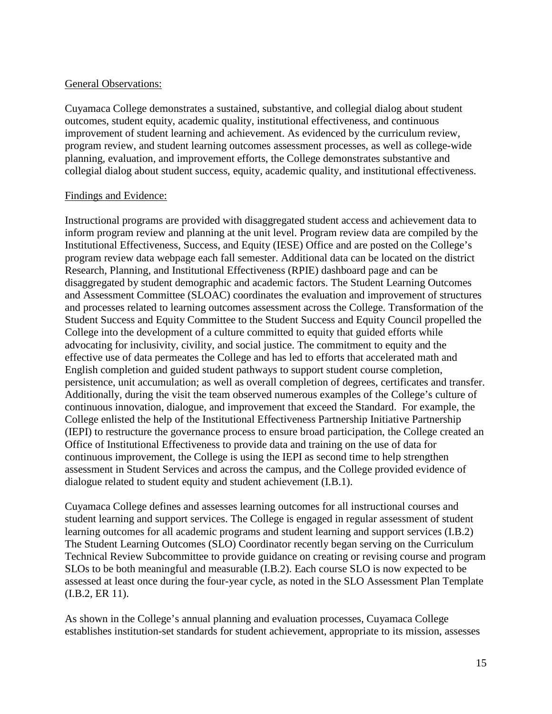### General Observations:

Cuyamaca College demonstrates a sustained, substantive, and collegial dialog about student outcomes, student equity, academic quality, institutional effectiveness, and continuous improvement of student learning and achievement. As evidenced by the curriculum review, program review, and student learning outcomes assessment processes, as well as college-wide planning, evaluation, and improvement efforts, the College demonstrates substantive and collegial dialog about student success, equity, academic quality, and institutional effectiveness.

### Findings and Evidence:

Instructional programs are provided with disaggregated student access and achievement data to inform program review and planning at the unit level. Program review data are compiled by the Institutional Effectiveness, Success, and Equity (IESE) Office and are posted on the College's program review data webpage each fall semester. Additional data can be located on the district Research, Planning, and Institutional Effectiveness (RPIE) dashboard page and can be disaggregated by student demographic and academic factors. The Student Learning Outcomes and Assessment Committee (SLOAC) coordinates the evaluation and improvement of structures and processes related to learning outcomes assessment across the College. Transformation of the Student Success and Equity Committee to the Student Success and Equity Council propelled the College into the development of a culture committed to equity that guided efforts while advocating for inclusivity, civility, and social justice. The commitment to equity and the effective use of data permeates the College and has led to efforts that accelerated math and English completion and guided student pathways to support student course completion, persistence, unit accumulation; as well as overall completion of degrees, certificates and transfer. Additionally, during the visit the team observed numerous examples of the College's culture of continuous innovation, dialogue, and improvement that exceed the Standard. For example, the College enlisted the help of the Institutional Effectiveness Partnership Initiative Partnership (IEPI) to restructure the governance process to ensure broad participation, the College created an Office of Institutional Effectiveness to provide data and training on the use of data for continuous improvement, the College is using the IEPI as second time to help strengthen assessment in Student Services and across the campus, and the College provided evidence of dialogue related to student equity and student achievement (I.B.1).

Cuyamaca College defines and assesses learning outcomes for all instructional courses and student learning and support services. The College is engaged in regular assessment of student learning outcomes for all academic programs and student learning and support services (I.B.2) The Student Learning Outcomes (SLO) Coordinator recently began serving on the Curriculum Technical Review Subcommittee to provide guidance on creating or revising course and program SLOs to be both meaningful and measurable (I.B.2). Each course SLO is now expected to be assessed at least once during the four-year cycle, as noted in the SLO Assessment Plan Template (I.B.2, ER 11).

As shown in the College's annual planning and evaluation processes, Cuyamaca College establishes institution-set standards for student achievement, appropriate to its mission, assesses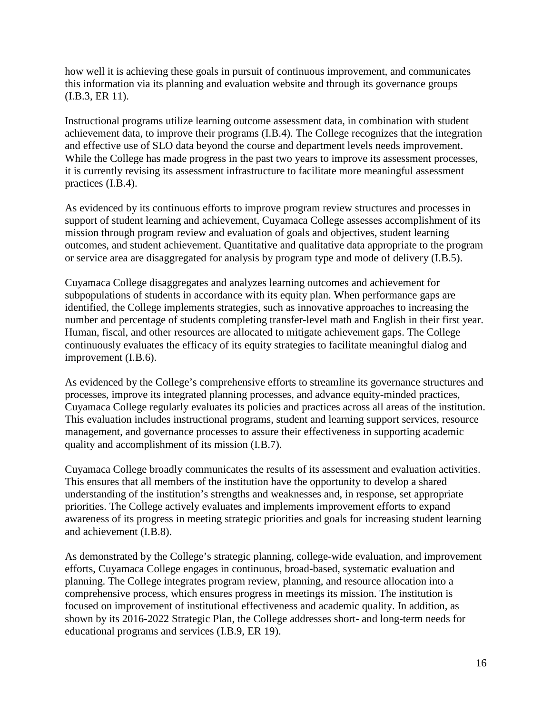how well it is achieving these goals in pursuit of continuous improvement, and communicates this information via its planning and evaluation website and through its governance groups (I.B.3, ER 11).

Instructional programs utilize learning outcome assessment data, in combination with student achievement data, to improve their programs (I.B.4). The College recognizes that the integration and effective use of SLO data beyond the course and department levels needs improvement. While the College has made progress in the past two years to improve its assessment processes, it is currently revising its assessment infrastructure to facilitate more meaningful assessment practices (I.B.4).

As evidenced by its continuous efforts to improve program review structures and processes in support of student learning and achievement, Cuyamaca College assesses accomplishment of its mission through program review and evaluation of goals and objectives, student learning outcomes, and student achievement. Quantitative and qualitative data appropriate to the program or service area are disaggregated for analysis by program type and mode of delivery (I.B.5).

Cuyamaca College disaggregates and analyzes learning outcomes and achievement for subpopulations of students in accordance with its equity plan. When performance gaps are identified, the College implements strategies, such as innovative approaches to increasing the number and percentage of students completing transfer-level math and English in their first year. Human, fiscal, and other resources are allocated to mitigate achievement gaps. The College continuously evaluates the efficacy of its equity strategies to facilitate meaningful dialog and improvement (I.B.6).

As evidenced by the College's comprehensive efforts to streamline its governance structures and processes, improve its integrated planning processes, and advance equity-minded practices, Cuyamaca College regularly evaluates its policies and practices across all areas of the institution. This evaluation includes instructional programs, student and learning support services, resource management, and governance processes to assure their effectiveness in supporting academic quality and accomplishment of its mission (I.B.7).

Cuyamaca College broadly communicates the results of its assessment and evaluation activities. This ensures that all members of the institution have the opportunity to develop a shared understanding of the institution's strengths and weaknesses and, in response, set appropriate priorities. The College actively evaluates and implements improvement efforts to expand awareness of its progress in meeting strategic priorities and goals for increasing student learning and achievement (I.B.8).

As demonstrated by the College's strategic planning, college-wide evaluation, and improvement efforts, Cuyamaca College engages in continuous, broad-based, systematic evaluation and planning. The College integrates program review, planning, and resource allocation into a comprehensive process, which ensures progress in meetings its mission. The institution is focused on improvement of institutional effectiveness and academic quality. In addition, as shown by its 2016-2022 Strategic Plan, the College addresses short- and long-term needs for educational programs and services (I.B.9, ER 19).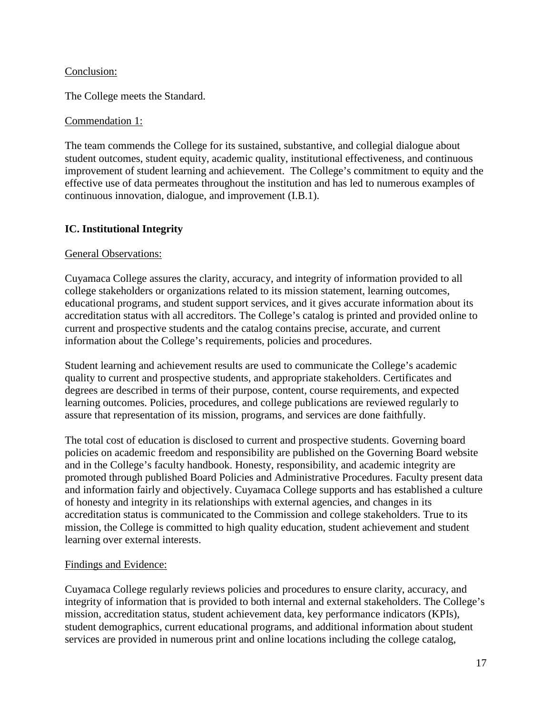### Conclusion:

The College meets the Standard.

### Commendation 1:

The team commends the College for its sustained, substantive, and collegial dialogue about student outcomes, student equity, academic quality, institutional effectiveness, and continuous improvement of student learning and achievement. The College's commitment to equity and the effective use of data permeates throughout the institution and has led to numerous examples of continuous innovation, dialogue, and improvement (I.B.1).

### **IC. Institutional Integrity**

### General Observations:

Cuyamaca College assures the clarity, accuracy, and integrity of information provided to all college stakeholders or organizations related to its mission statement, learning outcomes, educational programs, and student support services, and it gives accurate information about its accreditation status with all accreditors. The College's catalog is printed and provided online to current and prospective students and the catalog contains precise, accurate, and current information about the College's requirements, policies and procedures.

Student learning and achievement results are used to communicate the College's academic quality to current and prospective students, and appropriate stakeholders. Certificates and degrees are described in terms of their purpose, content, course requirements, and expected learning outcomes. Policies, procedures, and college publications are reviewed regularly to assure that representation of its mission, programs, and services are done faithfully.

The total cost of education is disclosed to current and prospective students. Governing board policies on academic freedom and responsibility are published on the Governing Board website and in the College's faculty handbook. Honesty, responsibility, and academic integrity are promoted through published Board Policies and Administrative Procedures. Faculty present data and information fairly and objectively. Cuyamaca College supports and has established a culture of honesty and integrity in its relationships with external agencies, and changes in its accreditation status is communicated to the Commission and college stakeholders. True to its mission, the College is committed to high quality education, student achievement and student learning over external interests.

### Findings and Evidence:

Cuyamaca College regularly reviews policies and procedures to ensure clarity, accuracy, and integrity of information that is provided to both internal and external stakeholders. The College's mission, accreditation status, student achievement data, key performance indicators (KPIs), student demographics, current educational programs, and additional information about student services are provided in numerous print and online locations including the college catalog,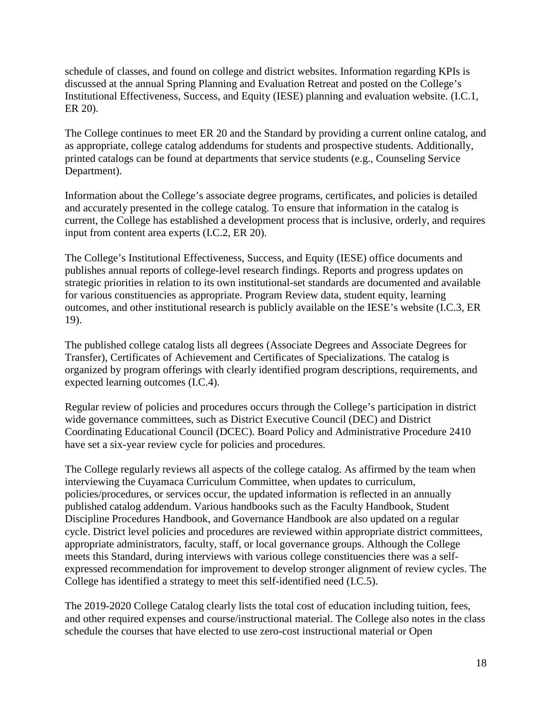schedule of classes, and found on college and district websites. Information regarding KPIs is discussed at the annual Spring Planning and Evaluation Retreat and posted on the College's Institutional Effectiveness, Success, and Equity (IESE) planning and evaluation website. (I.C.1, ER 20).

The College continues to meet ER 20 and the Standard by providing a current online catalog, and as appropriate, college catalog addendums for students and prospective students. Additionally, printed catalogs can be found at departments that service students (e.g., Counseling Service Department).

Information about the College's associate degree programs, certificates, and policies is detailed and accurately presented in the college catalog. To ensure that information in the catalog is current, the College has established a development process that is inclusive, orderly, and requires input from content area experts (I.C.2, ER 20).

The College's Institutional Effectiveness, Success, and Equity (IESE) office documents and publishes annual reports of college-level research findings. Reports and progress updates on strategic priorities in relation to its own institutional-set standards are documented and available for various constituencies as appropriate. Program Review data, student equity, learning outcomes, and other institutional research is publicly available on the IESE's website (I.C.3, ER 19).

The published college catalog lists all degrees (Associate Degrees and Associate Degrees for Transfer), Certificates of Achievement and Certificates of Specializations. The catalog is organized by program offerings with clearly identified program descriptions, requirements, and expected learning outcomes (I.C.4).

Regular review of policies and procedures occurs through the College's participation in district wide governance committees, such as District Executive Council (DEC) and District Coordinating Educational Council (DCEC). Board Policy and Administrative Procedure 2410 have set a six-year review cycle for policies and procedures.

The College regularly reviews all aspects of the college catalog. As affirmed by the team when interviewing the Cuyamaca Curriculum Committee, when updates to curriculum, policies/procedures, or services occur, the updated information is reflected in an annually published catalog addendum. Various handbooks such as the Faculty Handbook, Student Discipline Procedures Handbook, and Governance Handbook are also updated on a regular cycle. District level policies and procedures are reviewed within appropriate district committees, appropriate administrators, faculty, staff, or local governance groups. Although the College meets this Standard, during interviews with various college constituencies there was a selfexpressed recommendation for improvement to develop stronger alignment of review cycles. The College has identified a strategy to meet this self-identified need (I.C.5).

The 2019-2020 College Catalog clearly lists the total cost of education including tuition, fees, and other required expenses and course/instructional material. The College also notes in the class schedule the courses that have elected to use zero-cost instructional material or Open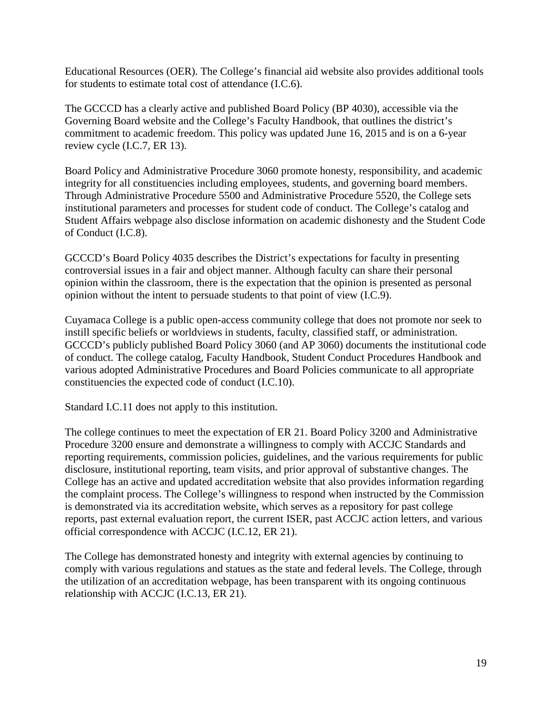Educational Resources (OER). The College's financial aid website also provides additional tools for students to estimate total cost of attendance (I.C.6).

The GCCCD has a clearly active and published Board Policy (BP 4030), accessible via the Governing Board website and the College's Faculty Handbook, that outlines the district's commitment to academic freedom. This policy was updated June 16, 2015 and is on a 6-year review cycle (I.C.7, ER 13).

Board Policy and Administrative Procedure 3060 promote honesty, responsibility, and academic integrity for all constituencies including employees, students, and governing board members. Through Administrative Procedure 5500 and Administrative Procedure 5520, the College sets institutional parameters and processes for student code of conduct. The College's catalog and Student Affairs webpage also disclose information on academic dishonesty and the Student Code of Conduct (I.C.8).

GCCCD's Board Policy 4035 describes the District's expectations for faculty in presenting controversial issues in a fair and object manner. Although faculty can share their personal opinion within the classroom, there is the expectation that the opinion is presented as personal opinion without the intent to persuade students to that point of view (I.C.9).

Cuyamaca College is a public open-access community college that does not promote nor seek to instill specific beliefs or worldviews in students, faculty, classified staff, or administration. GCCCD's publicly published Board Policy 3060 (and AP 3060) documents the institutional code of conduct. The college catalog, Faculty Handbook, Student Conduct Procedures Handbook and various adopted Administrative Procedures and Board Policies communicate to all appropriate constituencies the expected code of conduct (I.C.10).

Standard I.C.11 does not apply to this institution.

The college continues to meet the expectation of ER 21. Board Policy 3200 and Administrative Procedure 3200 ensure and demonstrate a willingness to comply with ACCJC Standards and reporting requirements, commission policies, guidelines, and the various requirements for public disclosure, institutional reporting, team visits, and prior approval of substantive changes. The College has an active and updated accreditation website that also provides information regarding the complaint process. The College's willingness to respond when instructed by the Commission is demonstrated via its accreditation website, which serves as a repository for past college reports, past external evaluation report, the current ISER, past ACCJC action letters, and various official correspondence with ACCJC (I.C.12, ER 21).

The College has demonstrated honesty and integrity with external agencies by continuing to comply with various regulations and statues as the state and federal levels. The College, through the utilization of an accreditation webpage, has been transparent with its ongoing continuous relationship with ACCJC (I.C.13, ER 21).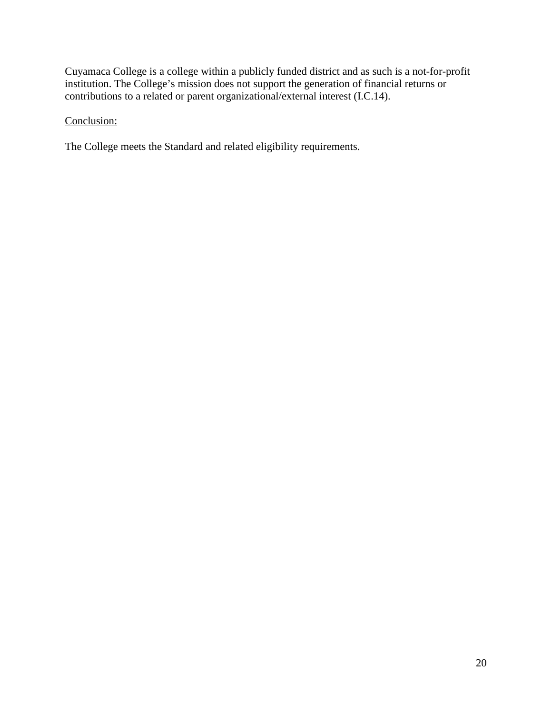Cuyamaca College is a college within a publicly funded district and as such is a not-for-profit institution. The College's mission does not support the generation of financial returns or contributions to a related or parent organizational/external interest (I.C.14).

# Conclusion:

The College meets the Standard and related eligibility requirements.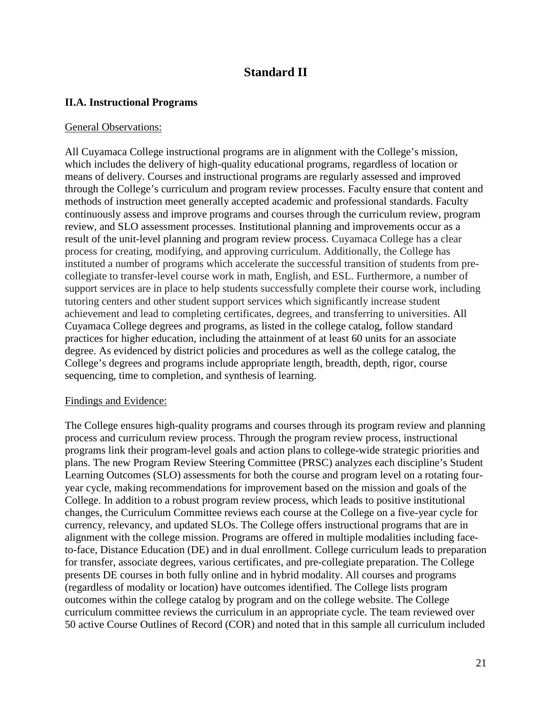# **Standard II**

### **II.A. Instructional Programs**

#### General Observations:

All Cuyamaca College instructional programs are in alignment with the College's mission, which includes the delivery of high-quality educational programs, regardless of location or means of delivery. Courses and instructional programs are regularly assessed and improved through the College's curriculum and program review processes. Faculty ensure that content and methods of instruction meet generally accepted academic and professional standards. Faculty continuously assess and improve programs and courses through the curriculum review, program review, and SLO assessment processes. Institutional planning and improvements occur as a result of the unit-level planning and program review process. Cuyamaca College has a clear process for creating, modifying, and approving curriculum. Additionally, the College has instituted a number of programs which accelerate the successful transition of students from precollegiate to transfer-level course work in math, English, and ESL. Furthermore, a number of support services are in place to help students successfully complete their course work, including tutoring centers and other student support services which significantly increase student achievement and lead to completing certificates, degrees, and transferring to universities. All Cuyamaca College degrees and programs, as listed in the college catalog, follow standard practices for higher education, including the attainment of at least 60 units for an associate degree. As evidenced by district policies and procedures as well as the college catalog, the College's degrees and programs include appropriate length, breadth, depth, rigor, course sequencing, time to completion, and synthesis of learning.

### Findings and Evidence:

The College ensures high-quality programs and courses through its program review and planning process and curriculum review process. Through the program review process, instructional programs link their program-level goals and action plans to college-wide strategic priorities and plans. The new Program Review Steering Committee (PRSC) analyzes each discipline's Student Learning Outcomes (SLO) assessments for both the course and program level on a rotating fouryear cycle, making recommendations for improvement based on the mission and goals of the College. In addition to a robust program review process, which leads to positive institutional changes, the Curriculum Committee reviews each course at the College on a five-year cycle for currency, relevancy, and updated SLOs. The College offers instructional programs that are in alignment with the college mission. Programs are offered in multiple modalities including faceto-face, Distance Education (DE) and in dual enrollment. College curriculum leads to preparation for transfer, associate degrees, various certificates, and pre-collegiate preparation. The College presents DE courses in both fully online and in hybrid modality. All courses and programs (regardless of modality or location) have outcomes identified. The College lists program outcomes within the college catalog by program and on the college website. The College curriculum committee reviews the curriculum in an appropriate cycle. The team reviewed over 50 active Course Outlines of Record (COR) and noted that in this sample all curriculum included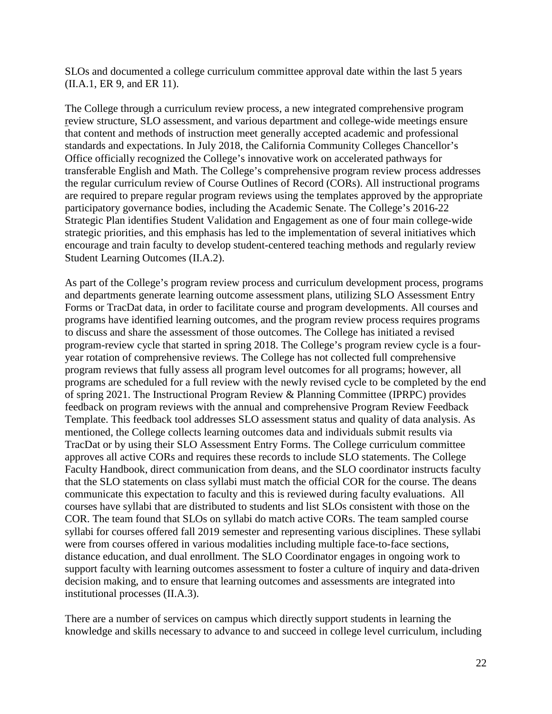SLOs and documented a college curriculum committee approval date within the last 5 years (II.A.1, ER 9, and ER 11).

The College through a curriculum review process, a new integrated comprehensive program review structure, SLO assessment, and various department and college-wide meetings ensure that content and methods of instruction meet generally accepted academic and professional standards and expectations. In July 2018, the California Community Colleges Chancellor's Office officially recognized the College's innovative work on accelerated pathways for transferable English and Math. The College's comprehensive program review process addresses the regular curriculum review of Course Outlines of Record (CORs). All instructional programs are required to prepare regular program reviews using the templates approved by the appropriate participatory governance bodies, including the Academic Senate. The College's 2016-22 Strategic Plan identifies Student Validation and Engagement as one of four main college-wide strategic priorities, and this emphasis has led to the implementation of several initiatives which encourage and train faculty to develop student-centered teaching methods and regularly review Student Learning Outcomes (II.A.2).

As part of the College's program review process and curriculum development process, programs and departments generate learning outcome assessment plans, utilizing SLO Assessment Entry Forms or TracDat data, in order to facilitate course and program developments. All courses and programs have identified learning outcomes, and the program review process requires programs to discuss and share the assessment of those outcomes. The College has initiated a revised program-review cycle that started in spring 2018. The College's program review cycle is a fouryear rotation of comprehensive reviews. The College has not collected full comprehensive program reviews that fully assess all program level outcomes for all programs; however, all programs are scheduled for a full review with the newly revised cycle to be completed by the end of spring 2021. The Instructional Program Review & Planning Committee (IPRPC) provides feedback on program reviews with the annual and comprehensive Program Review Feedback Template. This feedback tool addresses SLO assessment status and quality of data analysis. As mentioned, the College collects learning outcomes data and individuals submit results via TracDat or by using their SLO Assessment Entry Forms. The College curriculum committee approves all active CORs and requires these records to include SLO statements. The College Faculty Handbook, direct communication from deans, and the SLO coordinator instructs faculty that the SLO statements on class syllabi must match the official COR for the course. The deans communicate this expectation to faculty and this is reviewed during faculty evaluations. All courses have syllabi that are distributed to students and list SLOs consistent with those on the COR. The team found that SLOs on syllabi do match active CORs. The team sampled course syllabi for courses offered fall 2019 semester and representing various disciplines. These syllabi were from courses offered in various modalities including multiple face-to-face sections, distance education, and dual enrollment. The SLO Coordinator engages in ongoing work to support faculty with learning outcomes assessment to foster a culture of inquiry and data-driven decision making, and to ensure that learning outcomes and assessments are integrated into institutional processes (II.A.3).

There are a number of services on campus which directly support students in learning the knowledge and skills necessary to advance to and succeed in college level curriculum, including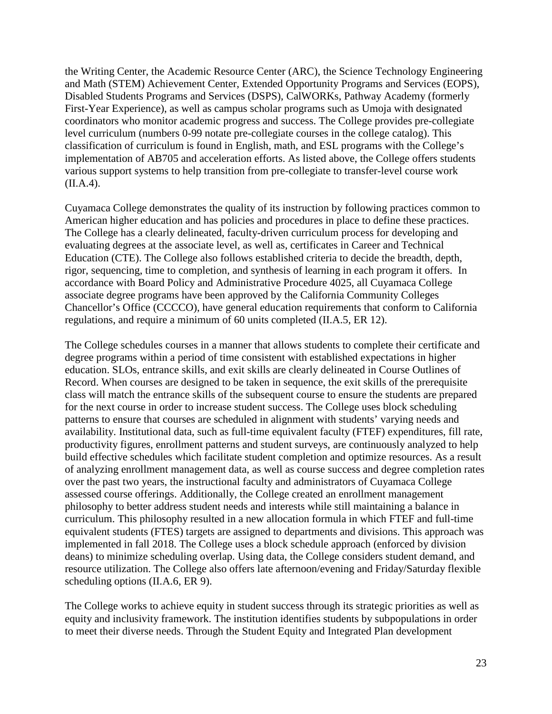the Writing Center, the Academic Resource Center (ARC), the Science Technology Engineering and Math (STEM) Achievement Center, Extended Opportunity Programs and Services (EOPS), Disabled Students Programs and Services (DSPS), CalWORKs, Pathway Academy (formerly First-Year Experience), as well as campus scholar programs such as Umoja with designated coordinators who monitor academic progress and success. The College provides pre-collegiate level curriculum (numbers 0-99 notate pre-collegiate courses in the college catalog). This classification of curriculum is found in English, math, and ESL programs with the College's implementation of AB705 and acceleration efforts. As listed above, the College offers students various support systems to help transition from pre-collegiate to transfer-level course work (II.A.4).

Cuyamaca College demonstrates the quality of its instruction by following practices common to American higher education and has policies and procedures in place to define these practices. The College has a clearly delineated, faculty-driven curriculum process for developing and evaluating degrees at the associate level, as well as, certificates in Career and Technical Education (CTE). The College also follows established criteria to decide the breadth, depth, rigor, sequencing, time to completion, and synthesis of learning in each program it offers. In accordance with Board Policy and Administrative Procedure 4025, all Cuyamaca College associate degree programs have been approved by the California Community Colleges Chancellor's Office (CCCCO), have general education requirements that conform to California regulations, and require a minimum of 60 units completed (II.A.5, ER 12).

The College schedules courses in a manner that allows students to complete their certificate and degree programs within a period of time consistent with established expectations in higher education. SLOs, entrance skills, and exit skills are clearly delineated in Course Outlines of Record. When courses are designed to be taken in sequence, the exit skills of the prerequisite class will match the entrance skills of the subsequent course to ensure the students are prepared for the next course in order to increase student success. The College uses block scheduling patterns to ensure that courses are scheduled in alignment with students' varying needs and availability. Institutional data, such as full-time equivalent faculty (FTEF) expenditures, fill rate, productivity figures, enrollment patterns and student surveys, are continuously analyzed to help build effective schedules which facilitate student completion and optimize resources. As a result of analyzing enrollment management data, as well as course success and degree completion rates over the past two years, the instructional faculty and administrators of Cuyamaca College assessed course offerings. Additionally, the College created an enrollment management philosophy to better address student needs and interests while still maintaining a balance in curriculum. This philosophy resulted in a new allocation formula in which FTEF and full-time equivalent students (FTES) targets are assigned to departments and divisions. This approach was implemented in fall 2018. The College uses a block schedule approach (enforced by division deans) to minimize scheduling overlap. Using data, the College considers student demand, and resource utilization. The College also offers late afternoon/evening and Friday/Saturday flexible scheduling options (II.A.6, ER 9).

The College works to achieve equity in student success through its strategic priorities as well as equity and inclusivity framework. The institution identifies students by subpopulations in order to meet their diverse needs. Through the Student Equity and Integrated Plan development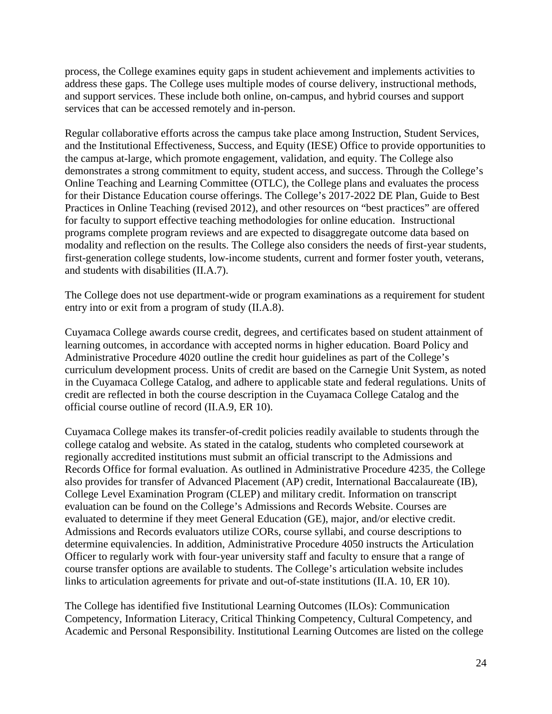process, the College examines equity gaps in student achievement and implements activities to address these gaps. The College uses multiple modes of course delivery, instructional methods, and support services. These include both online, on-campus, and hybrid courses and support services that can be accessed remotely and in-person.

Regular collaborative efforts across the campus take place among Instruction, Student Services, and the Institutional Effectiveness, Success, and Equity (IESE) Office to provide opportunities to the campus at-large, which promote engagement, validation, and equity. The College also demonstrates a strong commitment to equity, student access, and success. Through the College's Online Teaching and Learning Committee (OTLC), the College plans and evaluates the process for their Distance Education course offerings. The College's 2017-2022 DE Plan, Guide to Best Practices in Online Teaching (revised 2012), and other resources on "best practices" are offered for faculty to support effective teaching methodologies for online education. Instructional programs complete program reviews and are expected to disaggregate outcome data based on modality and reflection on the results. The College also considers the needs of first-year students, first-generation college students, low-income students, current and former foster youth, veterans, and students with disabilities (II.A.7).

The College does not use department-wide or program examinations as a requirement for student entry into or exit from a program of study (II.A.8).

Cuyamaca College awards course credit, degrees, and certificates based on student attainment of learning outcomes, in accordance with accepted norms in higher education. Board Policy and Administrative Procedure 4020 outline the credit hour guidelines as part of the College's curriculum development process. Units of credit are based on the Carnegie Unit System, as noted in the Cuyamaca College Catalog, and adhere to applicable state and federal regulations. Units of credit are reflected in both the course description in the Cuyamaca College Catalog and the official course outline of record (II.A.9, ER 10).

Cuyamaca College makes its transfer-of-credit policies readily available to students through the college catalog and website. As stated in the catalog, students who completed coursework at regionally accredited institutions must submit an official transcript to the Admissions and Records Office for formal evaluation. As outlined in Administrative Procedure 4235, the College also provides for transfer of Advanced Placement (AP) credit, International Baccalaureate (IB), College Level Examination Program (CLEP) and military credit. Information on transcript evaluation can be found on the College's Admissions and Records Website. Courses are evaluated to determine if they meet General Education (GE), major, and/or elective credit. Admissions and Records evaluators utilize CORs, course syllabi, and course descriptions to determine equivalencies. In addition, Administrative Procedure 4050 instructs the Articulation Officer to regularly work with four-year university staff and faculty to ensure that a range of course transfer options are available to students. The College's articulation website includes links to articulation agreements for private and out-of-state institutions (II.A. 10, ER 10).

The College has identified five Institutional Learning Outcomes (ILOs): Communication Competency, Information Literacy, Critical Thinking Competency, Cultural Competency, and Academic and Personal Responsibility. Institutional Learning Outcomes are listed on the college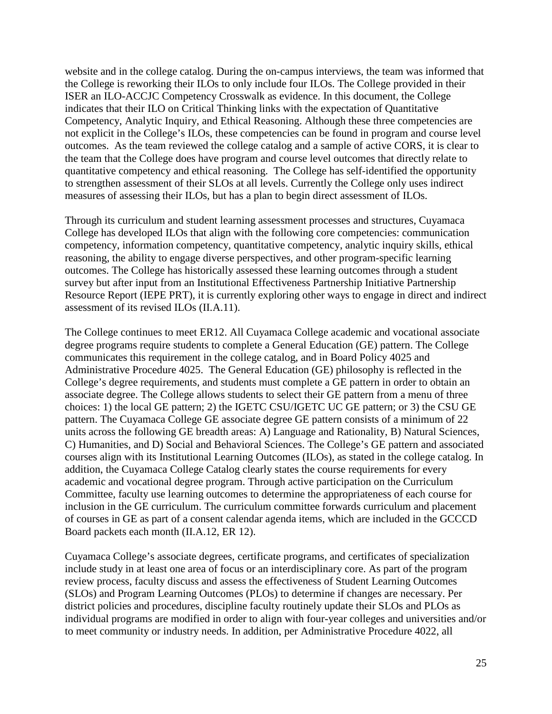website and in the college catalog. During the on-campus interviews, the team was informed that the College is reworking their ILOs to only include four ILOs. The College provided in their ISER an ILO-ACCJC Competency Crosswalk as evidence. In this document, the College indicates that their ILO on Critical Thinking links with the expectation of Quantitative Competency, Analytic Inquiry, and Ethical Reasoning. Although these three competencies are not explicit in the College's ILOs, these competencies can be found in program and course level outcomes. As the team reviewed the college catalog and a sample of active CORS, it is clear to the team that the College does have program and course level outcomes that directly relate to quantitative competency and ethical reasoning. The College has self-identified the opportunity to strengthen assessment of their SLOs at all levels. Currently the College only uses indirect measures of assessing their ILOs, but has a plan to begin direct assessment of ILOs.

Through its curriculum and student learning assessment processes and structures, Cuyamaca College has developed ILOs that align with the following core competencies: communication competency, information competency, quantitative competency, analytic inquiry skills, ethical reasoning, the ability to engage diverse perspectives, and other program-specific learning outcomes. The College has historically assessed these learning outcomes through a student survey but after input from an Institutional Effectiveness Partnership Initiative Partnership Resource Report (IEPE PRT), it is currently exploring other ways to engage in direct and indirect assessment of its revised ILOs (II.A.11).

The College continues to meet ER12. All Cuyamaca College academic and vocational associate degree programs require students to complete a General Education (GE) pattern. The College communicates this requirement in the college catalog, and in Board Policy 4025 and Administrative Procedure 4025. The General Education (GE) philosophy is reflected in the College's degree requirements, and students must complete a GE pattern in order to obtain an associate degree. The College allows students to select their GE pattern from a menu of three choices: 1) the local GE pattern; 2) the IGETC CSU/IGETC UC GE pattern; or 3) the CSU GE pattern. The Cuyamaca College GE associate degree GE pattern consists of a minimum of 22 units across the following GE breadth areas: A) Language and Rationality, B) Natural Sciences, C) Humanities, and D) Social and Behavioral Sciences. The College's GE pattern and associated courses align with its Institutional Learning Outcomes (ILOs), as stated in the college catalog. In addition, the Cuyamaca College Catalog clearly states the course requirements for every academic and vocational degree program. Through active participation on the Curriculum Committee, faculty use learning outcomes to determine the appropriateness of each course for inclusion in the GE curriculum. The curriculum committee forwards curriculum and placement of courses in GE as part of a consent calendar agenda items, which are included in the GCCCD Board packets each month (II.A.12, ER 12).

Cuyamaca College's associate degrees, certificate programs, and certificates of specialization include study in at least one area of focus or an interdisciplinary core. As part of the program review process, faculty discuss and assess the effectiveness of Student Learning Outcomes (SLOs) and Program Learning Outcomes (PLOs) to determine if changes are necessary. Per district policies and procedures, discipline faculty routinely update their SLOs and PLOs as individual programs are modified in order to align with four-year colleges and universities and/or to meet community or industry needs. In addition, per Administrative Procedure 4022, all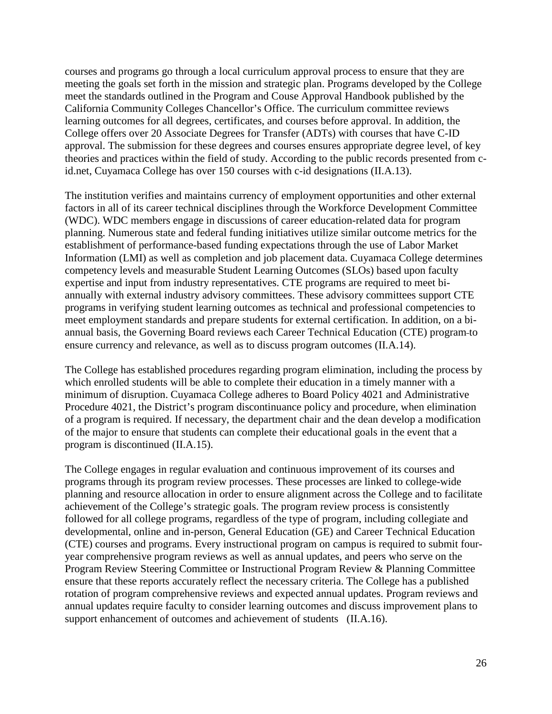courses and programs go through a local curriculum approval process to ensure that they are meeting the goals set forth in the mission and strategic plan. Programs developed by the College meet the standards outlined in the Program and Couse Approval Handbook published by the California Community Colleges Chancellor's Office. The curriculum committee reviews learning outcomes for all degrees, certificates, and courses before approval. In addition, the College offers over 20 Associate Degrees for Transfer (ADTs) with courses that have C-ID approval. The submission for these degrees and courses ensures appropriate degree level, of key theories and practices within the field of study. According to the public records presented from cid.net, Cuyamaca College has over 150 courses with c-id designations (II.A.13).

The institution verifies and maintains currency of employment opportunities and other external factors in all of its career technical disciplines through the Workforce Development Committee (WDC). WDC members engage in discussions of career education-related data for program planning. Numerous state and federal funding initiatives utilize similar outcome metrics for the establishment of performance-based funding expectations through the use of Labor Market Information (LMI) as well as completion and job placement data. Cuyamaca College determines competency levels and measurable Student Learning Outcomes (SLOs) based upon faculty expertise and input from industry representatives. CTE programs are required to meet biannually with external industry advisory committees. These advisory committees support CTE programs in verifying student learning outcomes as technical and professional competencies to meet employment standards and prepare students for external certification. In addition, on a biannual basis, the Governing Board reviews each Career Technical Education (CTE) program to ensure currency and relevance, as well as to discuss program outcomes (II.A.14).

The College has established procedures regarding program elimination, including the process by which enrolled students will be able to complete their education in a timely manner with a minimum of disruption. Cuyamaca College adheres to Board Policy 4021 and Administrative Procedure 4021, the District's program discontinuance policy and procedure, when elimination of a program is required. If necessary, the department chair and the dean develop a modification of the major to ensure that students can complete their educational goals in the event that a program is discontinued (II.A.15).

The College engages in regular evaluation and continuous improvement of its courses and programs through its program review processes. These processes are linked to college-wide planning and resource allocation in order to ensure alignment across the College and to facilitate achievement of the College's strategic goals. The program review process is consistently followed for all college programs, regardless of the type of program, including collegiate and developmental, online and in-person, General Education (GE) and Career Technical Education (CTE) courses and programs. Every instructional program on campus is required to submit fouryear comprehensive program reviews as well as annual updates, and peers who serve on the Program Review Steering Committee or Instructional Program Review & Planning Committee ensure that these reports accurately reflect the necessary criteria. The College has a published rotation of program comprehensive reviews and expected annual updates. Program reviews and annual updates require faculty to consider learning outcomes and discuss improvement plans to support enhancement of outcomes and achievement of students (II.A.16).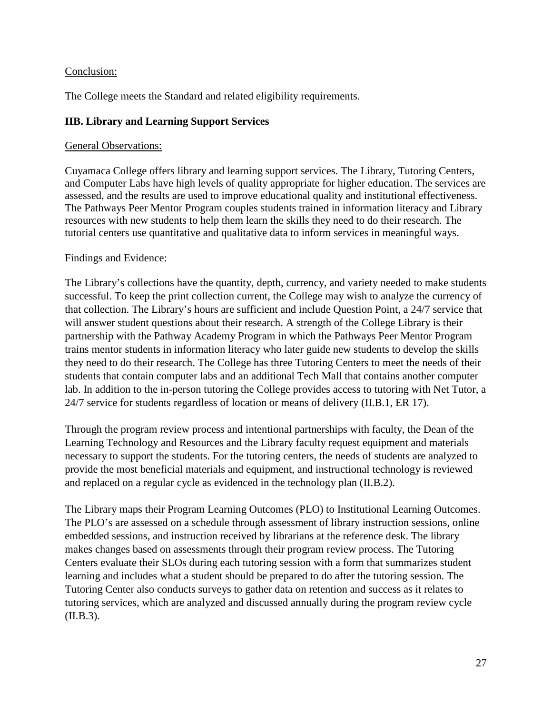### Conclusion:

The College meets the Standard and related eligibility requirements.

# **IIB. Library and Learning Support Services**

### General Observations:

Cuyamaca College offers library and learning support services. The Library, Tutoring Centers, and Computer Labs have high levels of quality appropriate for higher education. The services are assessed, and the results are used to improve educational quality and institutional effectiveness. The Pathways Peer Mentor Program couples students trained in information literacy and Library resources with new students to help them learn the skills they need to do their research. The tutorial centers use quantitative and qualitative data to inform services in meaningful ways.

### Findings and Evidence:

The Library's collections have the quantity, depth, currency, and variety needed to make students successful. To keep the print collection current, the College may wish to analyze the currency of that collection. The Library's hours are sufficient and include Question Point, a 24/7 service that will answer student questions about their research. A strength of the College Library is their partnership with the Pathway Academy Program in which the Pathways Peer Mentor Program trains mentor students in information literacy who later guide new students to develop the skills they need to do their research. The College has three Tutoring Centers to meet the needs of their students that contain computer labs and an additional Tech Mall that contains another computer lab. In addition to the in-person tutoring the College provides access to tutoring with Net Tutor, a 24/7 service for students regardless of location or means of delivery (II.B.1, ER 17).

Through the program review process and intentional partnerships with faculty, the Dean of the Learning Technology and Resources and the Library faculty request equipment and materials necessary to support the students. For the tutoring centers, the needs of students are analyzed to provide the most beneficial materials and equipment, and instructional technology is reviewed and replaced on a regular cycle as evidenced in the technology plan (II.B.2).

The Library maps their Program Learning Outcomes (PLO) to Institutional Learning Outcomes. The PLO's are assessed on a schedule through assessment of library instruction sessions, online embedded sessions, and instruction received by librarians at the reference desk. The library makes changes based on assessments through their program review process. The Tutoring Centers evaluate their SLOs during each tutoring session with a form that summarizes student learning and includes what a student should be prepared to do after the tutoring session. The Tutoring Center also conducts surveys to gather data on retention and success as it relates to tutoring services, which are analyzed and discussed annually during the program review cycle (II.B.3).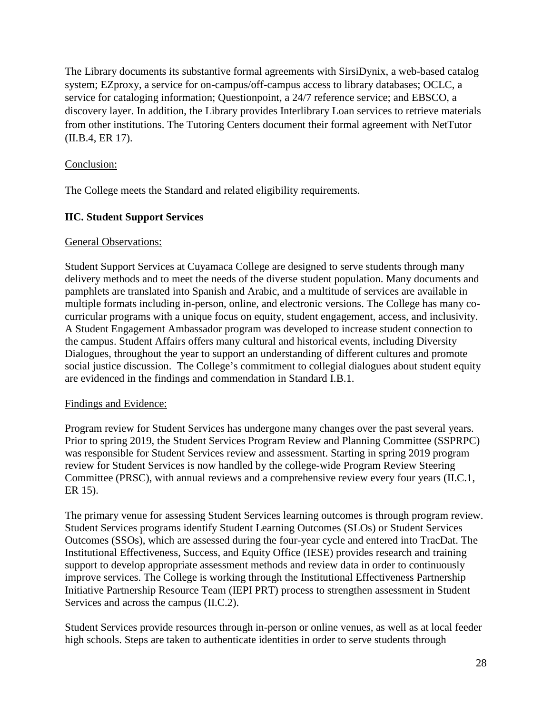The Library documents its substantive formal agreements with SirsiDynix, a web-based catalog system; EZproxy, a service for on-campus/off-campus access to library databases; OCLC, a service for cataloging information; Questionpoint, a 24/7 reference service; and EBSCO, a discovery layer. In addition, the Library provides Interlibrary Loan services to retrieve materials from other institutions. The Tutoring Centers document their formal agreement with NetTutor (II.B.4, ER 17).

### Conclusion:

The College meets the Standard and related eligibility requirements.

### **IIC. Student Support Services**

### General Observations:

Student Support Services at Cuyamaca College are designed to serve students through many delivery methods and to meet the needs of the diverse student population. Many documents and pamphlets are translated into Spanish and Arabic, and a multitude of services are available in multiple formats including in-person, online, and electronic versions. The College has many cocurricular programs with a unique focus on equity, student engagement, access, and inclusivity. A Student Engagement Ambassador program was developed to increase student connection to the campus. Student Affairs offers many cultural and historical events, including Diversity Dialogues, throughout the year to support an understanding of different cultures and promote social justice discussion. The College's commitment to collegial dialogues about student equity are evidenced in the findings and commendation in Standard I.B.1.

### Findings and Evidence:

Program review for Student Services has undergone many changes over the past several years. Prior to spring 2019, the Student Services Program Review and Planning Committee (SSPRPC) was responsible for Student Services review and assessment. Starting in spring 2019 program review for Student Services is now handled by the college-wide Program Review Steering Committee (PRSC), with annual reviews and a comprehensive review every four years (II.C.1, ER 15).

The primary venue for assessing Student Services learning outcomes is through program review. Student Services programs identify Student Learning Outcomes (SLOs) or Student Services Outcomes (SSOs), which are assessed during the four-year cycle and entered into TracDat. The Institutional Effectiveness, Success, and Equity Office (IESE) provides research and training support to develop appropriate assessment methods and review data in order to continuously improve services. The College is working through the Institutional Effectiveness Partnership Initiative Partnership Resource Team (IEPI PRT) process to strengthen assessment in Student Services and across the campus (II.C.2).

Student Services provide resources through in-person or online venues, as well as at local feeder high schools. Steps are taken to authenticate identities in order to serve students through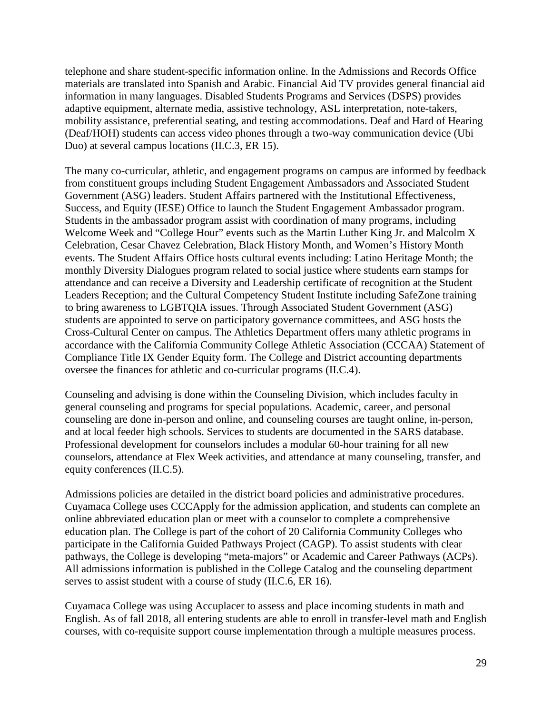telephone and share student-specific information online. In the Admissions and Records Office materials are translated into Spanish and Arabic. Financial Aid TV provides general financial aid information in many languages. Disabled Students Programs and Services (DSPS) provides adaptive equipment, alternate media, assistive technology, ASL interpretation, note-takers, mobility assistance, preferential seating, and testing accommodations. Deaf and Hard of Hearing (Deaf/HOH) students can access video phones through a two-way communication device (Ubi Duo) at several campus locations (II.C.3, ER 15).

The many co-curricular, athletic, and engagement programs on campus are informed by feedback from constituent groups including Student Engagement Ambassadors and Associated Student Government (ASG) leaders. Student Affairs partnered with the Institutional Effectiveness, Success, and Equity (IESE) Office to launch the Student Engagement Ambassador program. Students in the ambassador program assist with coordination of many programs, including Welcome Week and "College Hour" events such as the Martin Luther King Jr. and Malcolm X Celebration, Cesar Chavez Celebration, Black History Month, and Women's History Month events. The Student Affairs Office hosts cultural events including: Latino Heritage Month; the monthly Diversity Dialogues program related to social justice where students earn stamps for attendance and can receive a Diversity and Leadership certificate of recognition at the Student Leaders Reception; and the Cultural Competency Student Institute including SafeZone training to bring awareness to LGBTQIA issues. Through Associated Student Government (ASG) students are appointed to serve on participatory governance committees, and ASG hosts the Cross-Cultural Center on campus. The Athletics Department offers many athletic programs in accordance with the California Community College Athletic Association (CCCAA) Statement of Compliance Title IX Gender Equity form. The College and District accounting departments oversee the finances for athletic and co-curricular programs (II.C.4).

Counseling and advising is done within the Counseling Division, which includes faculty in general counseling and programs for special populations. Academic, career, and personal counseling are done in-person and online, and counseling courses are taught online, in-person, and at local feeder high schools. Services to students are documented in the SARS database. Professional development for counselors includes a modular 60-hour training for all new counselors, attendance at Flex Week activities, and attendance at many counseling, transfer, and equity conferences (II.C.5).

Admissions policies are detailed in the district board policies and administrative procedures. Cuyamaca College uses CCCApply for the admission application, and students can complete an online abbreviated education plan or meet with a counselor to complete a comprehensive education plan. The College is part of the cohort of 20 California Community Colleges who participate in the California Guided Pathways Project (CAGP). To assist students with clear pathways, the College is developing "meta-majors" or Academic and Career Pathways (ACPs). All admissions information is published in the College Catalog and the counseling department serves to assist student with a course of study (II.C.6, ER 16).

Cuyamaca College was using Accuplacer to assess and place incoming students in math and English. As of fall 2018, all entering students are able to enroll in transfer-level math and English courses, with co-requisite support course implementation through a multiple measures process.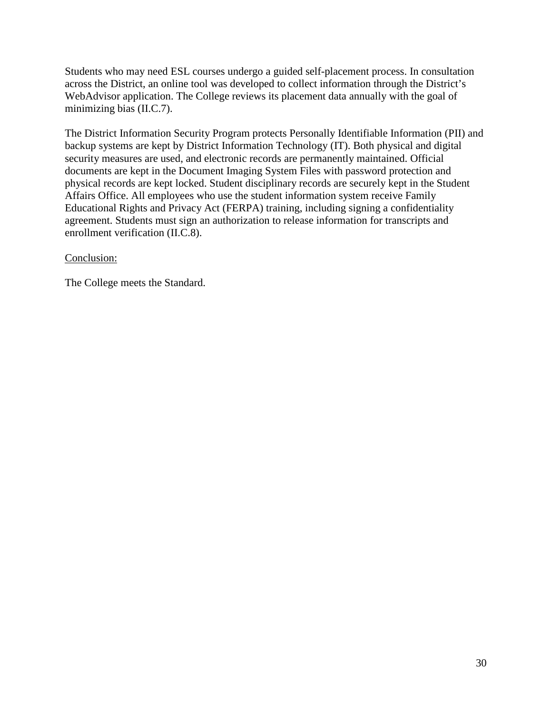Students who may need ESL courses undergo a guided self-placement process. In consultation across the District, an online tool was developed to collect information through the District's WebAdvisor application. The College reviews its placement data annually with the goal of minimizing bias (II.C.7).

The District Information Security Program protects Personally Identifiable Information (PII) and backup systems are kept by District Information Technology (IT). Both physical and digital security measures are used, and electronic records are permanently maintained. Official documents are kept in the Document Imaging System Files with password protection and physical records are kept locked. Student disciplinary records are securely kept in the Student Affairs Office. All employees who use the student information system receive Family Educational Rights and Privacy Act (FERPA) training, including signing a confidentiality agreement. Students must sign an authorization to release information for transcripts and enrollment verification (II.C.8).

### Conclusion:

The College meets the Standard.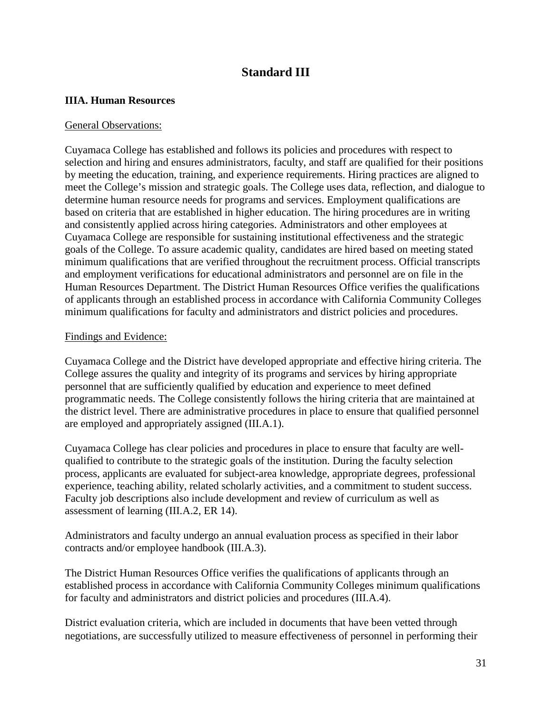# **Standard III**

### **IIIA. Human Resources**

### General Observations:

Cuyamaca College has established and follows its policies and procedures with respect to selection and hiring and ensures administrators, faculty, and staff are qualified for their positions by meeting the education, training, and experience requirements. Hiring practices are aligned to meet the College's mission and strategic goals. The College uses data, reflection, and dialogue to determine human resource needs for programs and services. Employment qualifications are based on criteria that are established in higher education. The hiring procedures are in writing and consistently applied across hiring categories. Administrators and other employees at Cuyamaca College are responsible for sustaining institutional effectiveness and the strategic goals of the College. To assure academic quality, candidates are hired based on meeting stated minimum qualifications that are verified throughout the recruitment process. Official transcripts and employment verifications for educational administrators and personnel are on file in the Human Resources Department. The District Human Resources Office verifies the qualifications of applicants through an established process in accordance with California Community Colleges minimum qualifications for faculty and administrators and district policies and procedures.

### Findings and Evidence:

Cuyamaca College and the District have developed appropriate and effective hiring criteria. The College assures the quality and integrity of its programs and services by hiring appropriate personnel that are sufficiently qualified by education and experience to meet defined programmatic needs. The College consistently follows the hiring criteria that are maintained at the district level. There are administrative procedures in place to ensure that qualified personnel are employed and appropriately assigned (III.A.1).

Cuyamaca College has clear policies and procedures in place to ensure that faculty are wellqualified to contribute to the strategic goals of the institution. During the faculty selection process, applicants are evaluated for subject-area knowledge, appropriate degrees, professional experience, teaching ability, related scholarly activities, and a commitment to student success. Faculty job descriptions also include development and review of curriculum as well as assessment of learning (III.A.2, ER 14).

Administrators and faculty undergo an annual evaluation process as specified in their labor contracts and/or employee handbook (III.A.3).

The District Human Resources Office verifies the qualifications of applicants through an established process in accordance with California Community Colleges minimum qualifications for faculty and administrators and district policies and procedures (III.A.4).

District evaluation criteria, which are included in documents that have been vetted through negotiations, are successfully utilized to measure effectiveness of personnel in performing their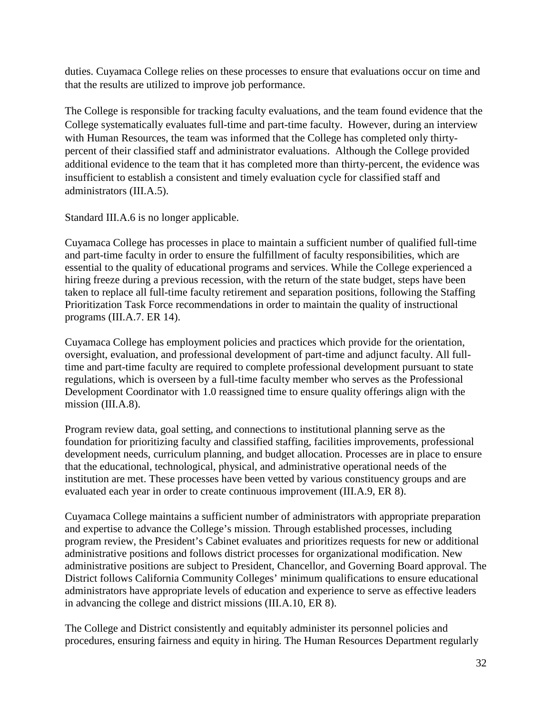duties. Cuyamaca College relies on these processes to ensure that evaluations occur on time and that the results are utilized to improve job performance.

The College is responsible for tracking faculty evaluations, and the team found evidence that the College systematically evaluates full-time and part-time faculty. However, during an interview with Human Resources, the team was informed that the College has completed only thirtypercent of their classified staff and administrator evaluations. Although the College provided additional evidence to the team that it has completed more than thirty-percent, the evidence was insufficient to establish a consistent and timely evaluation cycle for classified staff and administrators (III.A.5).

Standard III.A.6 is no longer applicable.

Cuyamaca College has processes in place to maintain a sufficient number of qualified full-time and part-time faculty in order to ensure the fulfillment of faculty responsibilities, which are essential to the quality of educational programs and services. While the College experienced a hiring freeze during a previous recession, with the return of the state budget, steps have been taken to replace all full-time faculty retirement and separation positions, following the Staffing Prioritization Task Force recommendations in order to maintain the quality of instructional programs (III.A.7. ER 14).

Cuyamaca College has employment policies and practices which provide for the orientation, oversight, evaluation, and professional development of part-time and adjunct faculty. All fulltime and part-time faculty are required to complete professional development pursuant to state regulations, which is overseen by a full-time faculty member who serves as the Professional Development Coordinator with 1.0 reassigned time to ensure quality offerings align with the mission (III.A.8).

Program review data, goal setting, and connections to institutional planning serve as the foundation for prioritizing faculty and classified staffing, facilities improvements, professional development needs, curriculum planning, and budget allocation. Processes are in place to ensure that the educational, technological, physical, and administrative operational needs of the institution are met. These processes have been vetted by various constituency groups and are evaluated each year in order to create continuous improvement (III.A.9, ER 8).

Cuyamaca College maintains a sufficient number of administrators with appropriate preparation and expertise to advance the College's mission. Through established processes, including program review, the President's Cabinet evaluates and prioritizes requests for new or additional administrative positions and follows district processes for organizational modification. New administrative positions are subject to President, Chancellor, and Governing Board approval. The District follows California Community Colleges' minimum qualifications to ensure educational administrators have appropriate levels of education and experience to serve as effective leaders in advancing the college and district missions (III.A.10, ER 8).

The College and District consistently and equitably administer its personnel policies and procedures, ensuring fairness and equity in hiring. The Human Resources Department regularly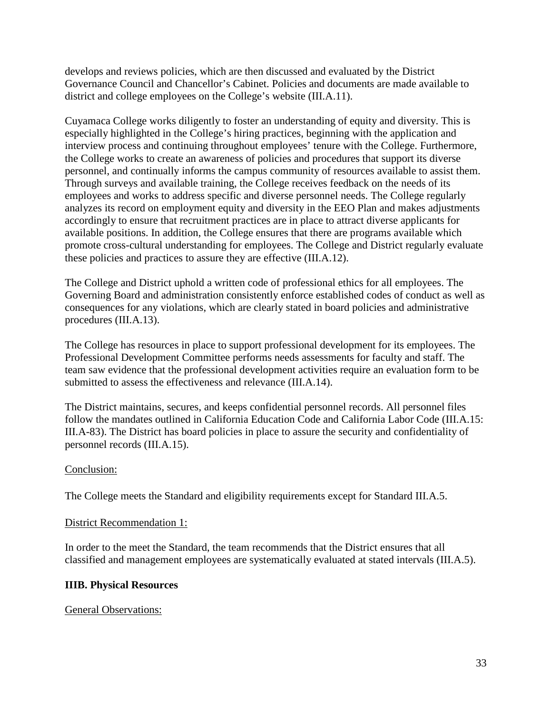develops and reviews policies, which are then discussed and evaluated by the District Governance Council and Chancellor's Cabinet. Policies and documents are made available to district and college employees on the College's website (III.A.11).

Cuyamaca College works diligently to foster an understanding of equity and diversity. This is especially highlighted in the College's hiring practices, beginning with the application and interview process and continuing throughout employees' tenure with the College. Furthermore, the College works to create an awareness of policies and procedures that support its diverse personnel, and continually informs the campus community of resources available to assist them. Through surveys and available training, the College receives feedback on the needs of its employees and works to address specific and diverse personnel needs. The College regularly analyzes its record on employment equity and diversity in the EEO Plan and makes adjustments accordingly to ensure that recruitment practices are in place to attract diverse applicants for available positions. In addition, the College ensures that there are programs available which promote cross-cultural understanding for employees. The College and District regularly evaluate these policies and practices to assure they are effective (III.A.12).

The College and District uphold a written code of professional ethics for all employees. The Governing Board and administration consistently enforce established codes of conduct as well as consequences for any violations, which are clearly stated in board policies and administrative procedures (III.A.13).

The College has resources in place to support professional development for its employees. The Professional Development Committee performs needs assessments for faculty and staff. The team saw evidence that the professional development activities require an evaluation form to be submitted to assess the effectiveness and relevance (III.A.14).

The District maintains, secures, and keeps confidential personnel records. All personnel files follow the mandates outlined in California Education Code and California Labor Code (III.A.15: III.A-83). The District has board policies in place to assure the security and confidentiality of personnel records (III.A.15).

### Conclusion:

The College meets the Standard and eligibility requirements except for Standard III.A.5.

### District Recommendation 1:

In order to the meet the Standard, the team recommends that the District ensures that all classified and management employees are systematically evaluated at stated intervals (III.A.5).

### **IIIB. Physical Resources**

General Observations: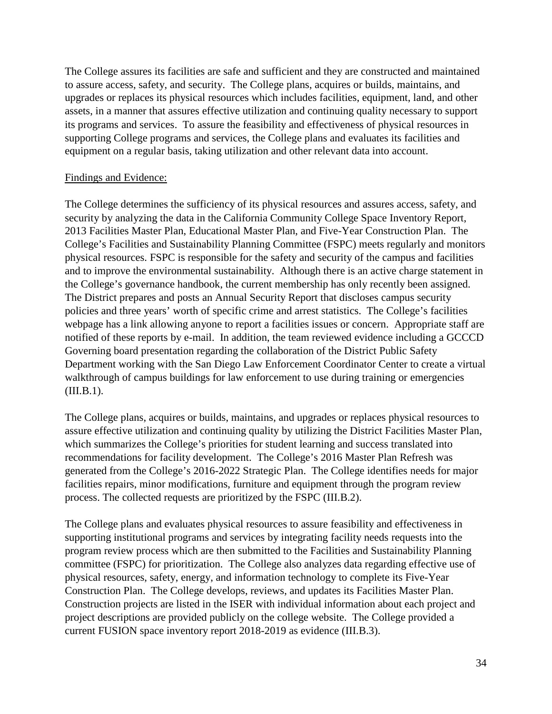The College assures its facilities are safe and sufficient and they are constructed and maintained to assure access, safety, and security. The College plans, acquires or builds, maintains, and upgrades or replaces its physical resources which includes facilities, equipment, land, and other assets, in a manner that assures effective utilization and continuing quality necessary to support its programs and services. To assure the feasibility and effectiveness of physical resources in supporting College programs and services, the College plans and evaluates its facilities and equipment on a regular basis, taking utilization and other relevant data into account.

### Findings and Evidence:

The College determines the sufficiency of its physical resources and assures access, safety, and security by analyzing the data in the California Community College Space Inventory Report, 2013 Facilities Master Plan, Educational Master Plan, and Five-Year Construction Plan. The College's Facilities and Sustainability Planning Committee (FSPC) meets regularly and monitors physical resources. FSPC is responsible for the safety and security of the campus and facilities and to improve the environmental sustainability. Although there is an active charge statement in the College's governance handbook, the current membership has only recently been assigned. The District prepares and posts an Annual Security Report that discloses campus security policies and three years' worth of specific crime and arrest statistics. The College's facilities webpage has a link allowing anyone to report a facilities issues or concern. Appropriate staff are notified of these reports by e-mail. In addition, the team reviewed evidence including a GCCCD Governing board presentation regarding the collaboration of the District Public Safety Department working with the San Diego Law Enforcement Coordinator Center to create a virtual walkthrough of campus buildings for law enforcement to use during training or emergencies  $(III.B.1).$ 

The College plans, acquires or builds, maintains, and upgrades or replaces physical resources to assure effective utilization and continuing quality by utilizing the District Facilities Master Plan, which summarizes the College's priorities for student learning and success translated into recommendations for facility development. The College's 2016 Master Plan Refresh was generated from the College's 2016-2022 Strategic Plan. The College identifies needs for major facilities repairs, minor modifications, furniture and equipment through the program review process. The collected requests are prioritized by the FSPC (III.B.2).

The College plans and evaluates physical resources to assure feasibility and effectiveness in supporting institutional programs and services by integrating facility needs requests into the program review process which are then submitted to the Facilities and Sustainability Planning committee (FSPC) for prioritization. The College also analyzes data regarding effective use of physical resources, safety, energy, and information technology to complete its Five-Year Construction Plan. The College develops, reviews, and updates its Facilities Master Plan. Construction projects are listed in the ISER with individual information about each project and project descriptions are provided publicly on the college website. The College provided a current FUSION space inventory report 2018-2019 as evidence (III.B.3).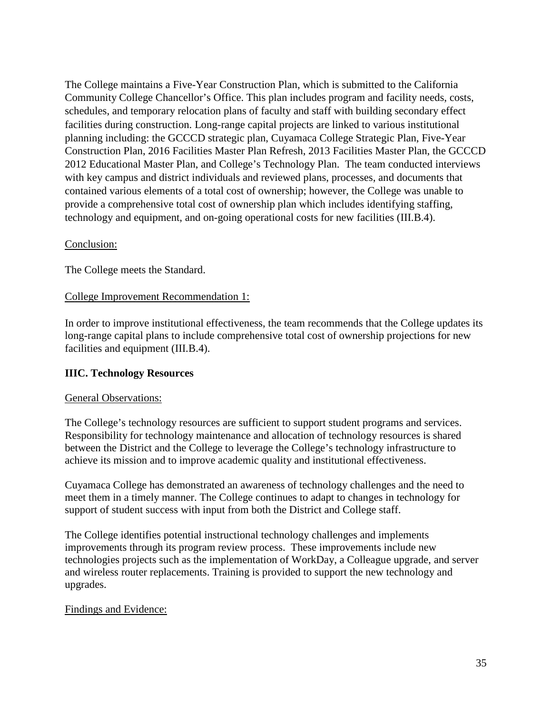The College maintains a Five-Year Construction Plan, which is submitted to the California Community College Chancellor's Office. This plan includes program and facility needs, costs, schedules, and temporary relocation plans of faculty and staff with building secondary effect facilities during construction. Long-range capital projects are linked to various institutional planning including: the GCCCD strategic plan, Cuyamaca College Strategic Plan, Five-Year Construction Plan, 2016 Facilities Master Plan Refresh, 2013 Facilities Master Plan, the GCCCD 2012 Educational Master Plan, and College's Technology Plan. The team conducted interviews with key campus and district individuals and reviewed plans, processes, and documents that contained various elements of a total cost of ownership; however, the College was unable to provide a comprehensive total cost of ownership plan which includes identifying staffing, technology and equipment, and on-going operational costs for new facilities (III.B.4).

### Conclusion:

The College meets the Standard.

### College Improvement Recommendation 1:

In order to improve institutional effectiveness, the team recommends that the College updates its long-range capital plans to include comprehensive total cost of ownership projections for new facilities and equipment (III.B.4).

### **IIIC. Technology Resources**

### General Observations:

The College's technology resources are sufficient to support student programs and services. Responsibility for technology maintenance and allocation of technology resources is shared between the District and the College to leverage the College's technology infrastructure to achieve its mission and to improve academic quality and institutional effectiveness.

Cuyamaca College has demonstrated an awareness of technology challenges and the need to meet them in a timely manner. The College continues to adapt to changes in technology for support of student success with input from both the District and College staff.

The College identifies potential instructional technology challenges and implements improvements through its program review process. These improvements include new technologies projects such as the implementation of WorkDay, a Colleague upgrade, and server and wireless router replacements. Training is provided to support the new technology and upgrades.

### Findings and Evidence: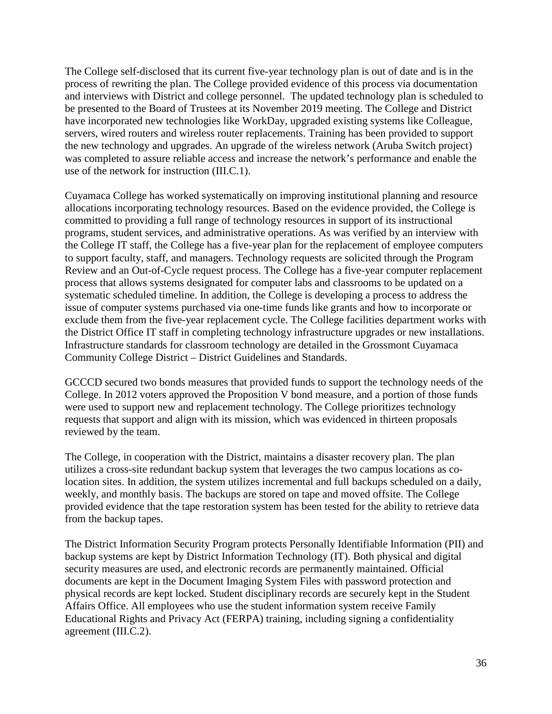The College self-disclosed that its current five-year technology plan is out of date and is in the process of rewriting the plan. The College provided evidence of this process via documentation and interviews with District and college personnel. The updated technology plan is scheduled to be presented to the Board of Trustees at its November 2019 meeting. The College and District have incorporated new technologies like WorkDay, upgraded existing systems like Colleague, servers, wired routers and wireless router replacements. Training has been provided to support the new technology and upgrades. An upgrade of the wireless network (Aruba Switch project) was completed to assure reliable access and increase the network's performance and enable the use of the network for instruction (III.C.1).

Cuyamaca College has worked systematically on improving institutional planning and resource allocations incorporating technology resources. Based on the evidence provided, the College is committed to providing a full range of technology resources in support of its instructional programs, student services, and administrative operations. As was verified by an interview with the College IT staff, the College has a five-year plan for the replacement of employee computers to support faculty, staff, and managers. Technology requests are solicited through the Program Review and an Out-of-Cycle request process. The College has a five-year computer replacement process that allows systems designated for computer labs and classrooms to be updated on a systematic scheduled timeline. In addition, the College is developing a process to address the issue of computer systems purchased via one-time funds like grants and how to incorporate or exclude them from the five-year replacement cycle. The College facilities department works with the District Office IT staff in completing technology infrastructure upgrades or new installations. Infrastructure standards for classroom technology are detailed in the Grossmont Cuyamaca Community College District – District Guidelines and Standards.

GCCCD secured two bonds measures that provided funds to support the technology needs of the College. In 2012 voters approved the Proposition V bond measure, and a portion of those funds were used to support new and replacement technology. The College prioritizes technology requests that support and align with its mission, which was evidenced in thirteen proposals reviewed by the team.

The College, in cooperation with the District, maintains a disaster recovery plan. The plan utilizes a cross-site redundant backup system that leverages the two campus locations as colocation sites. In addition, the system utilizes incremental and full backups scheduled on a daily, weekly, and monthly basis. The backups are stored on tape and moved offsite. The College provided evidence that the tape restoration system has been tested for the ability to retrieve data from the backup tapes.

The District Information Security Program protects Personally Identifiable Information (PII) and backup systems are kept by District Information Technology (IT). Both physical and digital security measures are used, and electronic records are permanently maintained. Official documents are kept in the Document Imaging System Files with password protection and physical records are kept locked. Student disciplinary records are securely kept in the Student Affairs Office. All employees who use the student information system receive Family Educational Rights and Privacy Act (FERPA) training, including signing a confidentiality agreement (III.C.2).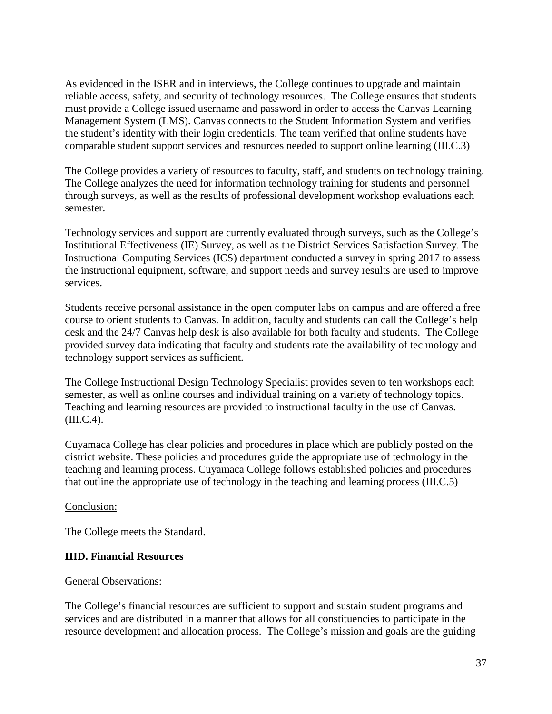As evidenced in the ISER and in interviews, the College continues to upgrade and maintain reliable access, safety, and security of technology resources. The College ensures that students must provide a College issued username and password in order to access the Canvas Learning Management System (LMS). Canvas connects to the Student Information System and verifies the student's identity with their login credentials. The team verified that online students have comparable student support services and resources needed to support online learning (III.C.3)

The College provides a variety of resources to faculty, staff, and students on technology training. The College analyzes the need for information technology training for students and personnel through surveys, as well as the results of professional development workshop evaluations each semester.

Technology services and support are currently evaluated through surveys, such as the College's Institutional Effectiveness (IE) Survey, as well as the District Services Satisfaction Survey. The Instructional Computing Services (ICS) department conducted a survey in spring 2017 to assess the instructional equipment, software, and support needs and survey results are used to improve services.

Students receive personal assistance in the open computer labs on campus and are offered a free course to orient students to Canvas. In addition, faculty and students can call the College's help desk and the 24/7 Canvas help desk is also available for both faculty and students. The College provided survey data indicating that faculty and students rate the availability of technology and technology support services as sufficient.

The College Instructional Design Technology Specialist provides seven to ten workshops each semester, as well as online courses and individual training on a variety of technology topics. Teaching and learning resources are provided to instructional faculty in the use of Canvas.  $(III.C.4).$ 

Cuyamaca College has clear policies and procedures in place which are publicly posted on the district website. These policies and procedures guide the appropriate use of technology in the teaching and learning process. Cuyamaca College follows established policies and procedures that outline the appropriate use of technology in the teaching and learning process (III.C.5)

### Conclusion:

The College meets the Standard.

### **IIID. Financial Resources**

### General Observations:

The College's financial resources are sufficient to support and sustain student programs and services and are distributed in a manner that allows for all constituencies to participate in the resource development and allocation process. The College's mission and goals are the guiding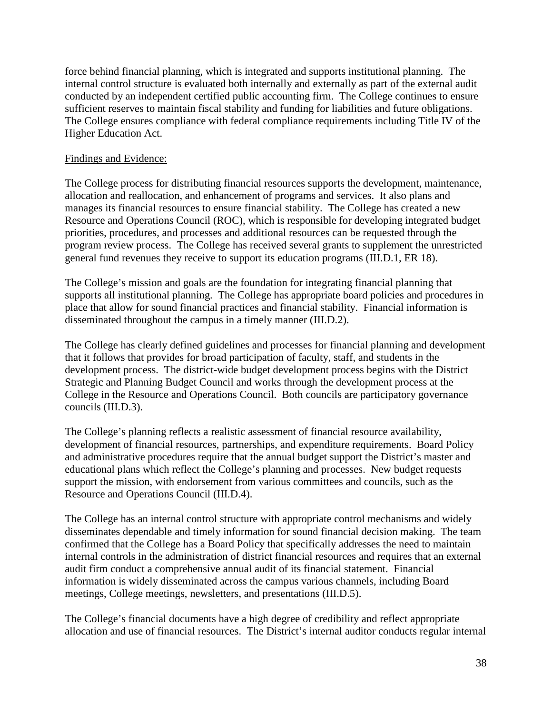force behind financial planning, which is integrated and supports institutional planning. The internal control structure is evaluated both internally and externally as part of the external audit conducted by an independent certified public accounting firm. The College continues to ensure sufficient reserves to maintain fiscal stability and funding for liabilities and future obligations. The College ensures compliance with federal compliance requirements including Title IV of the Higher Education Act.

### Findings and Evidence:

The College process for distributing financial resources supports the development, maintenance, allocation and reallocation, and enhancement of programs and services. It also plans and manages its financial resources to ensure financial stability. The College has created a new Resource and Operations Council (ROC), which is responsible for developing integrated budget priorities, procedures, and processes and additional resources can be requested through the program review process. The College has received several grants to supplement the unrestricted general fund revenues they receive to support its education programs (III.D.1, ER 18).

The College's mission and goals are the foundation for integrating financial planning that supports all institutional planning. The College has appropriate board policies and procedures in place that allow for sound financial practices and financial stability. Financial information is disseminated throughout the campus in a timely manner (III.D.2).

The College has clearly defined guidelines and processes for financial planning and development that it follows that provides for broad participation of faculty, staff, and students in the development process. The district-wide budget development process begins with the District Strategic and Planning Budget Council and works through the development process at the College in the Resource and Operations Council. Both councils are participatory governance councils (III.D.3).

The College's planning reflects a realistic assessment of financial resource availability, development of financial resources, partnerships, and expenditure requirements. Board Policy and administrative procedures require that the annual budget support the District's master and educational plans which reflect the College's planning and processes. New budget requests support the mission, with endorsement from various committees and councils, such as the Resource and Operations Council (III.D.4).

The College has an internal control structure with appropriate control mechanisms and widely disseminates dependable and timely information for sound financial decision making. The team confirmed that the College has a Board Policy that specifically addresses the need to maintain internal controls in the administration of district financial resources and requires that an external audit firm conduct a comprehensive annual audit of its financial statement. Financial information is widely disseminated across the campus various channels, including Board meetings, College meetings, newsletters, and presentations (III.D.5).

The College's financial documents have a high degree of credibility and reflect appropriate allocation and use of financial resources. The District's internal auditor conducts regular internal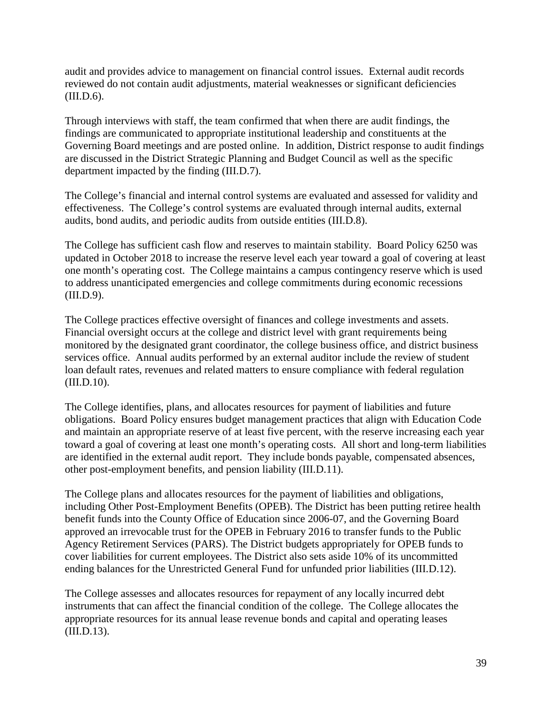audit and provides advice to management on financial control issues. External audit records reviewed do not contain audit adjustments, material weaknesses or significant deficiencies (III.D.6).

Through interviews with staff, the team confirmed that when there are audit findings, the findings are communicated to appropriate institutional leadership and constituents at the Governing Board meetings and are posted online. In addition, District response to audit findings are discussed in the District Strategic Planning and Budget Council as well as the specific department impacted by the finding (III.D.7).

The College's financial and internal control systems are evaluated and assessed for validity and effectiveness. The College's control systems are evaluated through internal audits, external audits, bond audits, and periodic audits from outside entities (III.D.8).

The College has sufficient cash flow and reserves to maintain stability. Board Policy 6250 was updated in October 2018 to increase the reserve level each year toward a goal of covering at least one month's operating cost. The College maintains a campus contingency reserve which is used to address unanticipated emergencies and college commitments during economic recessions (III.D.9).

The College practices effective oversight of finances and college investments and assets. Financial oversight occurs at the college and district level with grant requirements being monitored by the designated grant coordinator, the college business office, and district business services office. Annual audits performed by an external auditor include the review of student loan default rates, revenues and related matters to ensure compliance with federal regulation (III.D.10).

The College identifies, plans, and allocates resources for payment of liabilities and future obligations. Board Policy ensures budget management practices that align with Education Code and maintain an appropriate reserve of at least five percent, with the reserve increasing each year toward a goal of covering at least one month's operating costs. All short and long-term liabilities are identified in the external audit report. They include bonds payable, compensated absences, other post-employment benefits, and pension liability (III.D.11).

The College plans and allocates resources for the payment of liabilities and obligations, including Other Post-Employment Benefits (OPEB). The District has been putting retiree health benefit funds into the County Office of Education since 2006-07, and the Governing Board approved an irrevocable trust for the OPEB in February 2016 to transfer funds to the Public Agency Retirement Services (PARS). The District budgets appropriately for OPEB funds to cover liabilities for current employees. The District also sets aside 10% of its uncommitted ending balances for the Unrestricted General Fund for unfunded prior liabilities (III.D.12).

The College assesses and allocates resources for repayment of any locally incurred debt instruments that can affect the financial condition of the college. The College allocates the appropriate resources for its annual lease revenue bonds and capital and operating leases (III.D.13).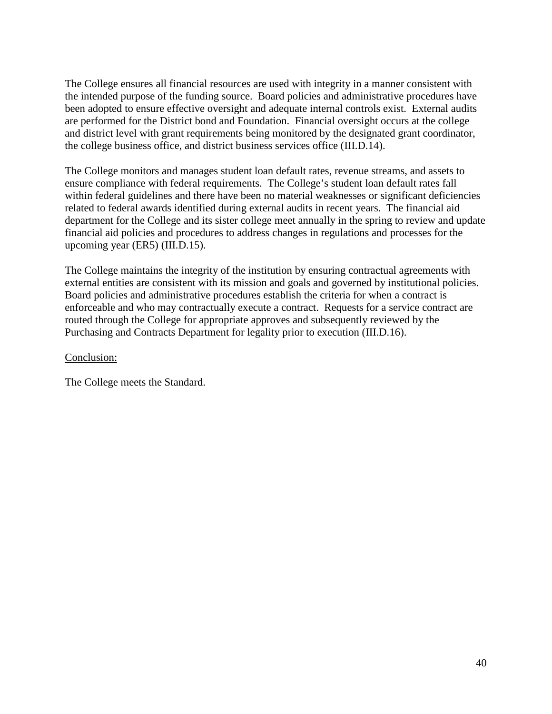The College ensures all financial resources are used with integrity in a manner consistent with the intended purpose of the funding source. Board policies and administrative procedures have been adopted to ensure effective oversight and adequate internal controls exist. External audits are performed for the District bond and Foundation. Financial oversight occurs at the college and district level with grant requirements being monitored by the designated grant coordinator, the college business office, and district business services office (III.D.14).

The College monitors and manages student loan default rates, revenue streams, and assets to ensure compliance with federal requirements. The College's student loan default rates fall within federal guidelines and there have been no material weaknesses or significant deficiencies related to federal awards identified during external audits in recent years. The financial aid department for the College and its sister college meet annually in the spring to review and update financial aid policies and procedures to address changes in regulations and processes for the upcoming year (ER5) (III.D.15).

The College maintains the integrity of the institution by ensuring contractual agreements with external entities are consistent with its mission and goals and governed by institutional policies. Board policies and administrative procedures establish the criteria for when a contract is enforceable and who may contractually execute a contract. Requests for a service contract are routed through the College for appropriate approves and subsequently reviewed by the Purchasing and Contracts Department for legality prior to execution (III.D.16).

### Conclusion:

The College meets the Standard.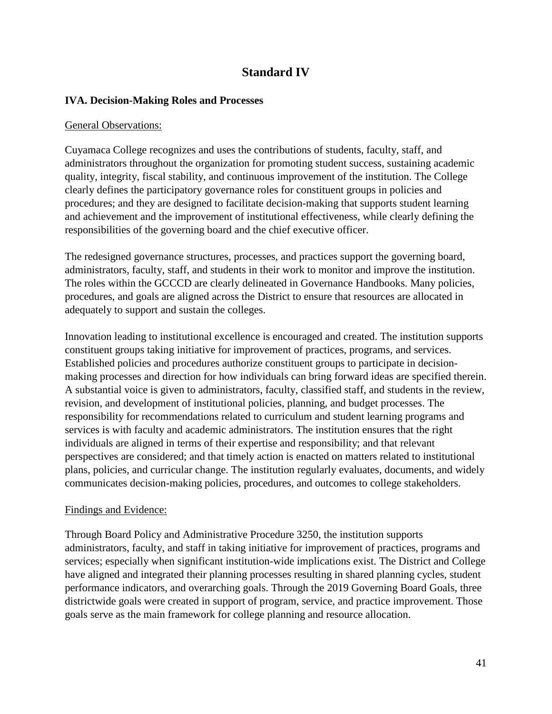# **Standard IV**

### **IVA. Decision-Making Roles and Processes**

### General Observations:

Cuyamaca College recognizes and uses the contributions of students, faculty, staff, and administrators throughout the organization for promoting student success, sustaining academic quality, integrity, fiscal stability, and continuous improvement of the institution. The College clearly defines the participatory governance roles for constituent groups in policies and procedures; and they are designed to facilitate decision-making that supports student learning and achievement and the improvement of institutional effectiveness, while clearly defining the responsibilities of the governing board and the chief executive officer.

The redesigned governance structures, processes, and practices support the governing board, administrators, faculty, staff, and students in their work to monitor and improve the institution. The roles within the GCCCD are clearly delineated in Governance Handbooks. Many policies, procedures, and goals are aligned across the District to ensure that resources are allocated in adequately to support and sustain the colleges.

Innovation leading to institutional excellence is encouraged and created. The institution supports constituent groups taking initiative for improvement of practices, programs, and services. Established policies and procedures authorize constituent groups to participate in decisionmaking processes and direction for how individuals can bring forward ideas are specified therein. A substantial voice is given to administrators, faculty, classified staff, and students in the review, revision, and development of institutional policies, planning, and budget processes. The responsibility for recommendations related to curriculum and student learning programs and services is with faculty and academic administrators. The institution ensures that the right individuals are aligned in terms of their expertise and responsibility; and that relevant perspectives are considered; and that timely action is enacted on matters related to institutional plans, policies, and curricular change. The institution regularly evaluates, documents, and widely communicates decision-making policies, procedures, and outcomes to college stakeholders.

### Findings and Evidence:

Through Board Policy and Administrative Procedure 3250, the institution supports administrators, faculty, and staff in taking initiative for improvement of practices, programs and services; especially when significant institution-wide implications exist. The District and College have aligned and integrated their planning processes resulting in shared planning cycles, student performance indicators, and overarching goals. Through the 2019 Governing Board Goals, three districtwide goals were created in support of program, service, and practice improvement. Those goals serve as the main framework for college planning and resource allocation.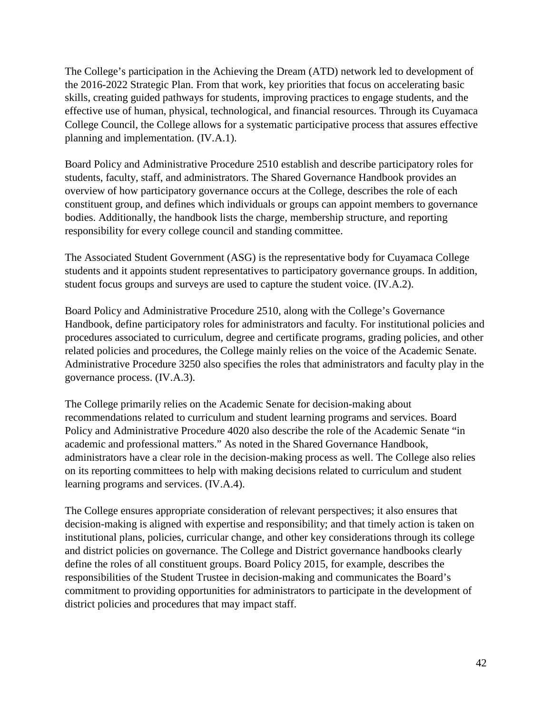The College's participation in the Achieving the Dream (ATD) network led to development of the 2016-2022 Strategic Plan. From that work, key priorities that focus on accelerating basic skills, creating guided pathways for students, improving practices to engage students, and the effective use of human, physical, technological, and financial resources. Through its Cuyamaca College Council, the College allows for a systematic participative process that assures effective planning and implementation. (IV.A.1).

Board Policy and Administrative Procedure 2510 establish and describe participatory roles for students, faculty, staff, and administrators. The Shared Governance Handbook provides an overview of how participatory governance occurs at the College, describes the role of each constituent group, and defines which individuals or groups can appoint members to governance bodies. Additionally, the handbook lists the charge, membership structure, and reporting responsibility for every college council and standing committee.

The Associated Student Government (ASG) is the representative body for Cuyamaca College students and it appoints student representatives to participatory governance groups. In addition, student focus groups and surveys are used to capture the student voice. (IV.A.2).

Board Policy and Administrative Procedure 2510, along with the College's Governance Handbook, define participatory roles for administrators and faculty. For institutional policies and procedures associated to curriculum, degree and certificate programs, grading policies, and other related policies and procedures, the College mainly relies on the voice of the Academic Senate. Administrative Procedure 3250 also specifies the roles that administrators and faculty play in the governance process. (IV.A.3).

The College primarily relies on the Academic Senate for decision-making about recommendations related to curriculum and student learning programs and services. Board Policy and Administrative Procedure 4020 also describe the role of the Academic Senate "in academic and professional matters." As noted in the Shared Governance Handbook, administrators have a clear role in the decision-making process as well. The College also relies on its reporting committees to help with making decisions related to curriculum and student learning programs and services. (IV.A.4).

The College ensures appropriate consideration of relevant perspectives; it also ensures that decision-making is aligned with expertise and responsibility; and that timely action is taken on institutional plans, policies, curricular change, and other key considerations through its college and district policies on governance. The College and District governance handbooks clearly define the roles of all constituent groups. Board Policy 2015, for example, describes the responsibilities of the Student Trustee in decision-making and communicates the Board's commitment to providing opportunities for administrators to participate in the development of district policies and procedures that may impact staff.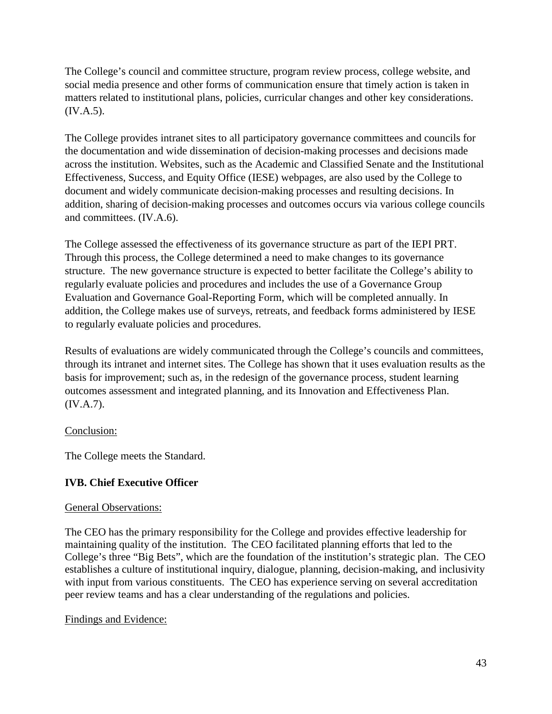The College's council and committee structure, program review process, college website, and social media presence and other forms of communication ensure that timely action is taken in matters related to institutional plans, policies, curricular changes and other key considerations. (IV.A.5).

The College provides intranet sites to all participatory governance committees and councils for the documentation and wide dissemination of decision-making processes and decisions made across the institution. Websites, such as the Academic and Classified Senate and the Institutional Effectiveness, Success, and Equity Office (IESE) webpages, are also used by the College to document and widely communicate decision-making processes and resulting decisions. In addition, sharing of decision-making processes and outcomes occurs via various college councils and committees. (IV.A.6).

The College assessed the effectiveness of its governance structure as part of the IEPI PRT. Through this process, the College determined a need to make changes to its governance structure. The new governance structure is expected to better facilitate the College's ability to regularly evaluate policies and procedures and includes the use of a Governance Group Evaluation and Governance Goal-Reporting Form, which will be completed annually. In addition, the College makes use of surveys, retreats, and feedback forms administered by IESE to regularly evaluate policies and procedures.

Results of evaluations are widely communicated through the College's councils and committees, through its intranet and internet sites. The College has shown that it uses evaluation results as the basis for improvement; such as, in the redesign of the governance process, student learning outcomes assessment and integrated planning, and its Innovation and Effectiveness Plan. (IV.A.7).

### Conclusion:

The College meets the Standard.

# **IVB. Chief Executive Officer**

### General Observations:

The CEO has the primary responsibility for the College and provides effective leadership for maintaining quality of the institution. The CEO facilitated planning efforts that led to the College's three "Big Bets", which are the foundation of the institution's strategic plan. The CEO establishes a culture of institutional inquiry, dialogue, planning, decision-making, and inclusivity with input from various constituents. The CEO has experience serving on several accreditation peer review teams and has a clear understanding of the regulations and policies.

### Findings and Evidence: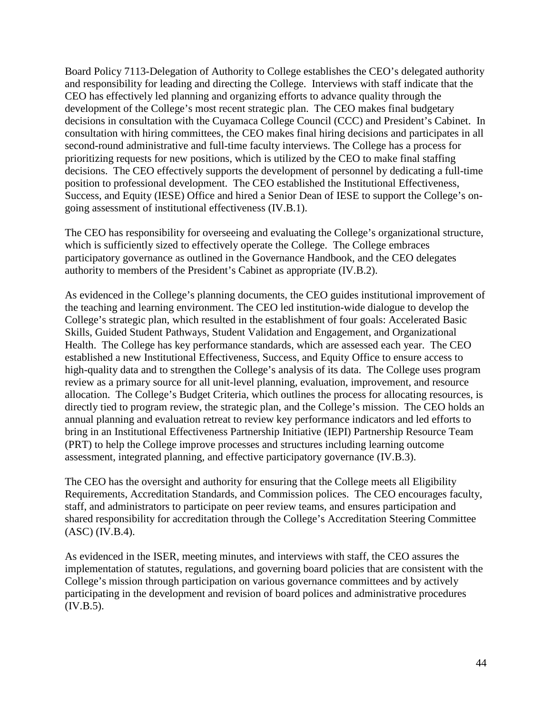Board Policy 7113-Delegation of Authority to College establishes the CEO's delegated authority and responsibility for leading and directing the College. Interviews with staff indicate that the CEO has effectively led planning and organizing efforts to advance quality through the development of the College's most recent strategic plan. The CEO makes final budgetary decisions in consultation with the Cuyamaca College Council (CCC) and President's Cabinet. In consultation with hiring committees, the CEO makes final hiring decisions and participates in all second-round administrative and full-time faculty interviews. The College has a process for prioritizing requests for new positions, which is utilized by the CEO to make final staffing decisions. The CEO effectively supports the development of personnel by dedicating a full-time position to professional development. The CEO established the Institutional Effectiveness, Success, and Equity (IESE) Office and hired a Senior Dean of IESE to support the College's ongoing assessment of institutional effectiveness (IV.B.1).

The CEO has responsibility for overseeing and evaluating the College's organizational structure, which is sufficiently sized to effectively operate the College. The College embraces participatory governance as outlined in the Governance Handbook, and the CEO delegates authority to members of the President's Cabinet as appropriate (IV.B.2).

As evidenced in the College's planning documents, the CEO guides institutional improvement of the teaching and learning environment. The CEO led institution-wide dialogue to develop the College's strategic plan, which resulted in the establishment of four goals: Accelerated Basic Skills, Guided Student Pathways, Student Validation and Engagement, and Organizational Health. The College has key performance standards, which are assessed each year. The CEO established a new Institutional Effectiveness, Success, and Equity Office to ensure access to high-quality data and to strengthen the College's analysis of its data. The College uses program review as a primary source for all unit-level planning, evaluation, improvement, and resource allocation. The College's Budget Criteria, which outlines the process for allocating resources, is directly tied to program review, the strategic plan, and the College's mission. The CEO holds an annual planning and evaluation retreat to review key performance indicators and led efforts to bring in an Institutional Effectiveness Partnership Initiative (IEPI) Partnership Resource Team (PRT) to help the College improve processes and structures including learning outcome assessment, integrated planning, and effective participatory governance (IV.B.3).

The CEO has the oversight and authority for ensuring that the College meets all Eligibility Requirements, Accreditation Standards, and Commission polices. The CEO encourages faculty, staff, and administrators to participate on peer review teams, and ensures participation and shared responsibility for accreditation through the College's Accreditation Steering Committee (ASC) (IV.B.4).

As evidenced in the ISER, meeting minutes, and interviews with staff, the CEO assures the implementation of statutes, regulations, and governing board policies that are consistent with the College's mission through participation on various governance committees and by actively participating in the development and revision of board polices and administrative procedures (IV.B.5).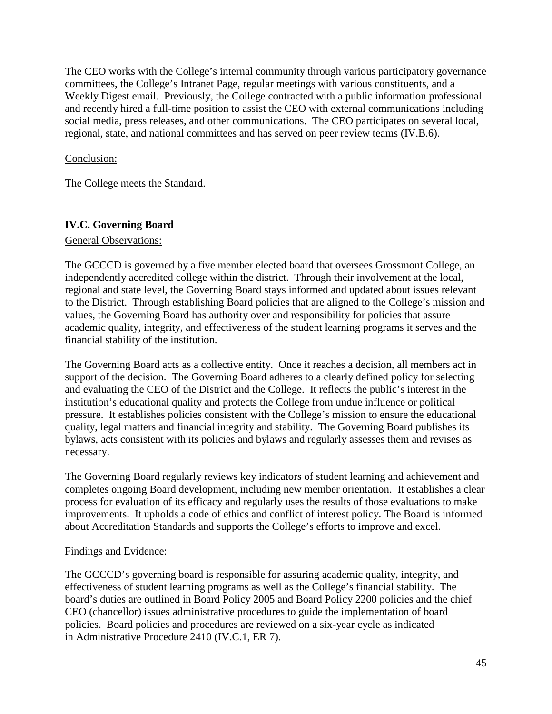The CEO works with the College's internal community through various participatory governance committees, the College's Intranet Page, regular meetings with various constituents, and a Weekly Digest email. Previously, the College contracted with a public information professional and recently hired a full-time position to assist the CEO with external communications including social media, press releases, and other communications. The CEO participates on several local, regional, state, and national committees and has served on peer review teams (IV.B.6).

### Conclusion:

The College meets the Standard.

# **IV.C. Governing Board**

### General Observations:

The GCCCD is governed by a five member elected board that oversees Grossmont College, an independently accredited college within the district. Through their involvement at the local, regional and state level, the Governing Board stays informed and updated about issues relevant to the District. Through establishing Board policies that are aligned to the College's mission and values, the Governing Board has authority over and responsibility for policies that assure academic quality, integrity, and effectiveness of the student learning programs it serves and the financial stability of the institution.

The Governing Board acts as a collective entity. Once it reaches a decision, all members act in support of the decision. The Governing Board adheres to a clearly defined policy for selecting and evaluating the CEO of the District and the College. It reflects the public's interest in the institution's educational quality and protects the College from undue influence or political pressure. It establishes policies consistent with the College's mission to ensure the educational quality, legal matters and financial integrity and stability. The Governing Board publishes its bylaws, acts consistent with its policies and bylaws and regularly assesses them and revises as necessary.

The Governing Board regularly reviews key indicators of student learning and achievement and completes ongoing Board development, including new member orientation. It establishes a clear process for evaluation of its efficacy and regularly uses the results of those evaluations to make improvements. It upholds a code of ethics and conflict of interest policy. The Board is informed about Accreditation Standards and supports the College's efforts to improve and excel.

### Findings and Evidence:

The GCCCD's governing board is responsible for assuring academic quality, integrity, and effectiveness of student learning programs as well as the College's financial stability. The board's duties are outlined in Board Policy 2005 and Board Policy 2200 policies and the chief CEO (chancellor) issues administrative procedures to guide the implementation of board policies. Board policies and procedures are reviewed on a six-year cycle as indicated in Administrative Procedure 2410 (IV.C.1, ER 7).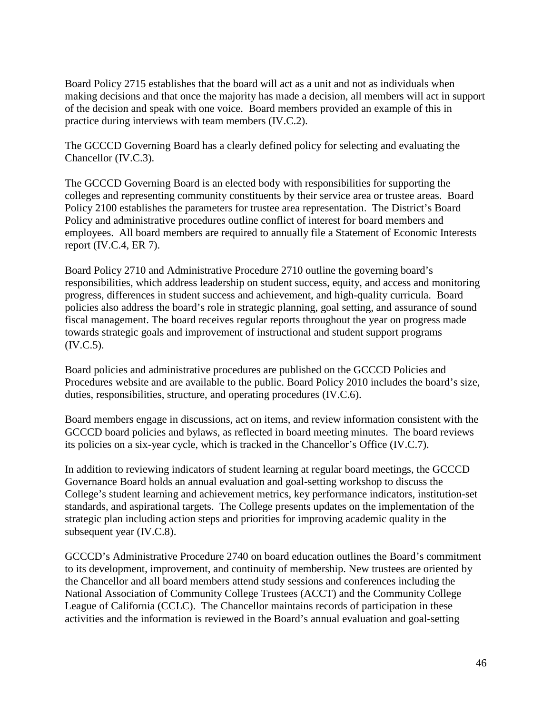Board Policy 2715 establishes that the board will act as a unit and not as individuals when making decisions and that once the majority has made a decision, all members will act in support of the decision and speak with one voice. Board members provided an example of this in practice during interviews with team members (IV.C.2).

The GCCCD Governing Board has a clearly defined policy for selecting and evaluating the Chancellor (IV.C.3).

The GCCCD Governing Board is an elected body with responsibilities for supporting the colleges and representing community constituents by their service area or trustee areas. Board Policy 2100 establishes the parameters for trustee area representation. The District's Board Policy and administrative procedures outline conflict of interest for board members and employees. All board members are required to annually file a Statement of Economic Interests report (IV.C.4, ER 7).

Board Policy 2710 and Administrative Procedure 2710 outline the governing board's responsibilities, which address leadership on student success, equity, and access and monitoring progress, differences in student success and achievement, and high-quality curricula. Board policies also address the board's role in strategic planning, goal setting, and assurance of sound fiscal management. The board receives regular reports throughout the year on progress made towards strategic goals and improvement of instructional and student support programs (IV.C.5).

Board policies and administrative procedures are published on the GCCCD Policies and Procedures website and are available to the public. Board Policy 2010 includes the board's size, duties, responsibilities, structure, and operating procedures (IV.C.6).

Board members engage in discussions, act on items, and review information consistent with the GCCCD board policies and bylaws, as reflected in board meeting minutes. The board reviews its policies on a six-year cycle, which is tracked in the Chancellor's Office (IV.C.7).

In addition to reviewing indicators of student learning at regular board meetings, the GCCCD Governance Board holds an annual evaluation and goal-setting workshop to discuss the College's student learning and achievement metrics, key performance indicators, institution-set standards, and aspirational targets. The College presents updates on the implementation of the strategic plan including action steps and priorities for improving academic quality in the subsequent year (IV.C.8).

GCCCD's Administrative Procedure 2740 on board education outlines the Board's commitment to its development, improvement, and continuity of membership. New trustees are oriented by the Chancellor and all board members attend study sessions and conferences including the National Association of Community College Trustees (ACCT) and the Community College League of California (CCLC). The Chancellor maintains records of participation in these activities and the information is reviewed in the Board's annual evaluation and goal-setting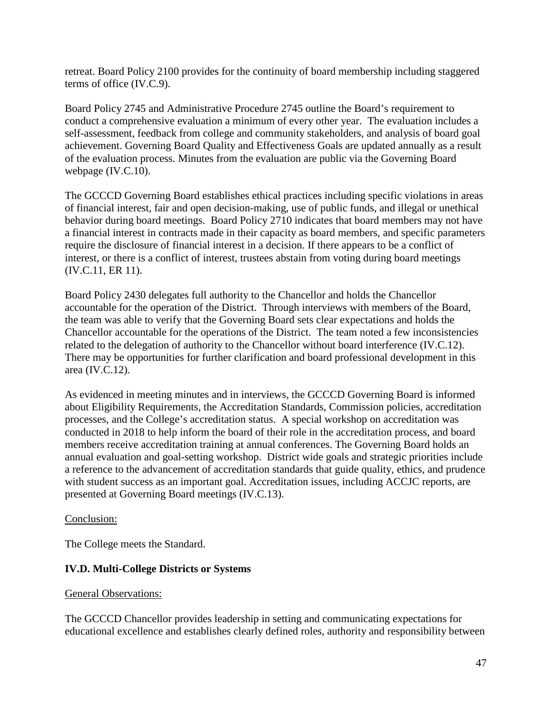retreat. Board Policy 2100 provides for the continuity of board membership including staggered terms of office (IV.C.9).

Board Policy 2745 and Administrative Procedure 2745 outline the Board's requirement to conduct a comprehensive evaluation a minimum of every other year. The evaluation includes a self-assessment, feedback from college and community stakeholders, and analysis of board goal achievement. Governing Board Quality and Effectiveness Goals are updated annually as a result of the evaluation process. Minutes from the evaluation are public via the Governing Board webpage (IV.C.10).

The GCCCD Governing Board establishes ethical practices including specific violations in areas of financial interest, fair and open decision-making, use of public funds, and illegal or unethical behavior during board meetings. Board Policy 2710 indicates that board members may not have a financial interest in contracts made in their capacity as board members, and specific parameters require the disclosure of financial interest in a decision. If there appears to be a conflict of interest, or there is a conflict of interest, trustees abstain from voting during board meetings (IV.C.11, ER 11).

Board Policy 2430 delegates full authority to the Chancellor and holds the Chancellor accountable for the operation of the District. Through interviews with members of the Board, the team was able to verify that the Governing Board sets clear expectations and holds the Chancellor accountable for the operations of the District. The team noted a few inconsistencies related to the delegation of authority to the Chancellor without board interference (IV.C.12). There may be opportunities for further clarification and board professional development in this area (IV.C.12).

As evidenced in meeting minutes and in interviews, the GCCCD Governing Board is informed about Eligibility Requirements, the Accreditation Standards, Commission policies, accreditation processes, and the College's accreditation status. A special workshop on accreditation was conducted in 2018 to help inform the board of their role in the accreditation process, and board members receive accreditation training at annual conferences. The Governing Board holds an annual evaluation and goal-setting workshop. District wide goals and strategic priorities include a reference to the advancement of accreditation standards that guide quality, ethics, and prudence with student success as an important goal. Accreditation issues, including ACCJC reports, are presented at Governing Board meetings (IV.C.13).

### Conclusion:

The College meets the Standard.

# **IV.D. Multi-College Districts or Systems**

### General Observations:

The GCCCD Chancellor provides leadership in setting and communicating expectations for educational excellence and establishes clearly defined roles, authority and responsibility between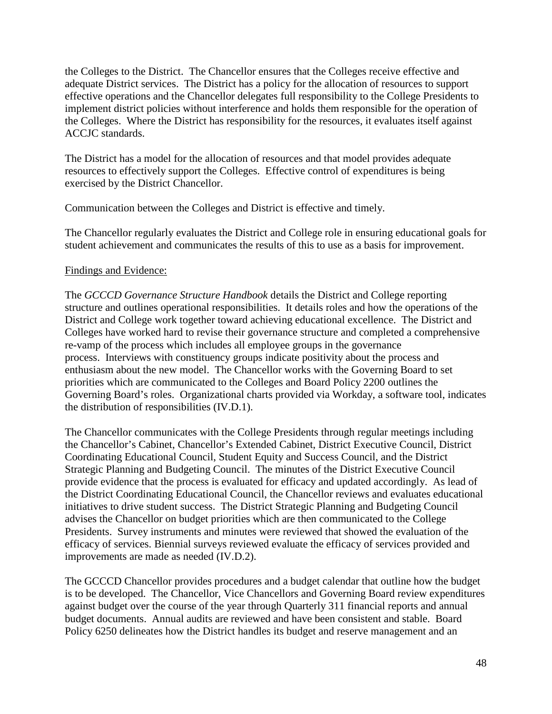the Colleges to the District. The Chancellor ensures that the Colleges receive effective and adequate District services. The District has a policy for the allocation of resources to support effective operations and the Chancellor delegates full responsibility to the College Presidents to implement district policies without interference and holds them responsible for the operation of the Colleges. Where the District has responsibility for the resources, it evaluates itself against ACCJC standards.

The District has a model for the allocation of resources and that model provides adequate resources to effectively support the Colleges. Effective control of expenditures is being exercised by the District Chancellor.

Communication between the Colleges and District is effective and timely.

The Chancellor regularly evaluates the District and College role in ensuring educational goals for student achievement and communicates the results of this to use as a basis for improvement.

### Findings and Evidence:

The *GCCCD Governance Structure Handbook* details the District and College reporting structure and outlines operational responsibilities. It details roles and how the operations of the District and College work together toward achieving educational excellence. The District and Colleges have worked hard to revise their governance structure and completed a comprehensive re-vamp of the process which includes all employee groups in the governance process. Interviews with constituency groups indicate positivity about the process and enthusiasm about the new model. The Chancellor works with the Governing Board to set priorities which are communicated to the Colleges and Board Policy 2200 outlines the Governing Board's roles. Organizational charts provided via Workday, a software tool, indicates the distribution of responsibilities (IV.D.1).

The Chancellor communicates with the College Presidents through regular meetings including the Chancellor's Cabinet, Chancellor's Extended Cabinet, District Executive Council, District Coordinating Educational Council, Student Equity and Success Council, and the District Strategic Planning and Budgeting Council. The minutes of the District Executive Council provide evidence that the process is evaluated for efficacy and updated accordingly. As lead of the District Coordinating Educational Council, the Chancellor reviews and evaluates educational initiatives to drive student success. The District Strategic Planning and Budgeting Council advises the Chancellor on budget priorities which are then communicated to the College Presidents. Survey instruments and minutes were reviewed that showed the evaluation of the efficacy of services. Biennial surveys reviewed evaluate the efficacy of services provided and improvements are made as needed (IV.D.2).

The GCCCD Chancellor provides procedures and a budget calendar that outline how the budget is to be developed. The Chancellor, Vice Chancellors and Governing Board review expenditures against budget over the course of the year through Quarterly 311 financial reports and annual budget documents. Annual audits are reviewed and have been consistent and stable. Board Policy 6250 delineates how the District handles its budget and reserve management and an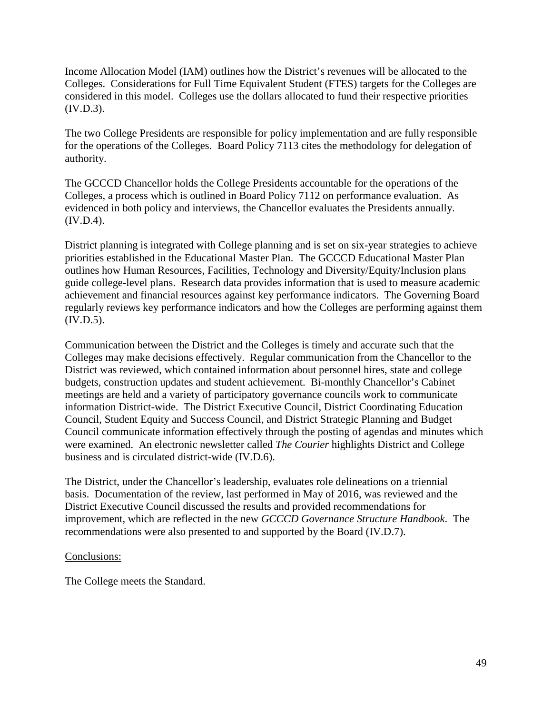Income Allocation Model (IAM) outlines how the District's revenues will be allocated to the Colleges. Considerations for Full Time Equivalent Student (FTES) targets for the Colleges are considered in this model. Colleges use the dollars allocated to fund their respective priorities (IV.D.3).

The two College Presidents are responsible for policy implementation and are fully responsible for the operations of the Colleges. Board Policy 7113 cites the methodology for delegation of authority.

The GCCCD Chancellor holds the College Presidents accountable for the operations of the Colleges, a process which is outlined in Board Policy 7112 on performance evaluation. As evidenced in both policy and interviews, the Chancellor evaluates the Presidents annually. (IV.D.4).

District planning is integrated with College planning and is set on six-year strategies to achieve priorities established in the Educational Master Plan. The GCCCD Educational Master Plan outlines how Human Resources, Facilities, Technology and Diversity/Equity/Inclusion plans guide college-level plans. Research data provides information that is used to measure academic achievement and financial resources against key performance indicators. The Governing Board regularly reviews key performance indicators and how the Colleges are performing against them (IV.D.5).

Communication between the District and the Colleges is timely and accurate such that the Colleges may make decisions effectively. Regular communication from the Chancellor to the District was reviewed, which contained information about personnel hires, state and college budgets, construction updates and student achievement. Bi-monthly Chancellor's Cabinet meetings are held and a variety of participatory governance councils work to communicate information District-wide. The District Executive Council, District Coordinating Education Council, Student Equity and Success Council, and District Strategic Planning and Budget Council communicate information effectively through the posting of agendas and minutes which were examined. An electronic newsletter called *The Courier* highlights District and College business and is circulated district-wide (IV.D.6).

The District, under the Chancellor's leadership, evaluates role delineations on a triennial basis. Documentation of the review, last performed in May of 2016, was reviewed and the District Executive Council discussed the results and provided recommendations for improvement, which are reflected in the new *GCCCD Governance Structure Handbook*. The recommendations were also presented to and supported by the Board (IV.D.7).

### Conclusions:

The College meets the Standard.